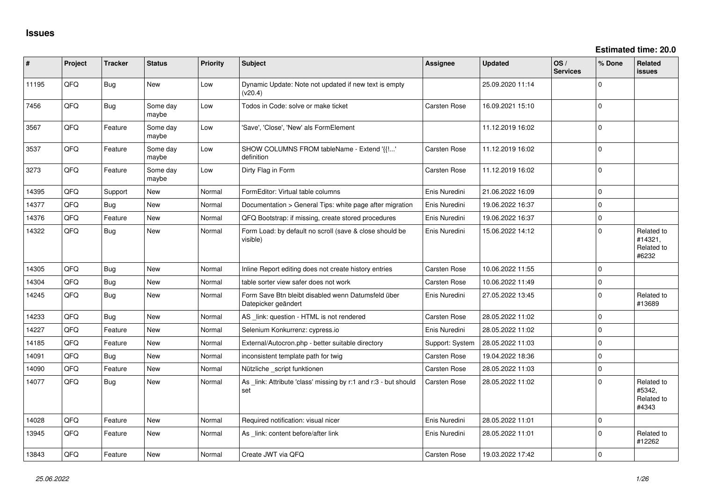| ∦     | Project | <b>Tracker</b> | <b>Status</b>     | Priority | Subject                                                                   | <b>Assignee</b>     | <b>Updated</b>   | OS/<br><b>Services</b> | % Done       | <b>Related</b><br>issues                     |
|-------|---------|----------------|-------------------|----------|---------------------------------------------------------------------------|---------------------|------------------|------------------------|--------------|----------------------------------------------|
| 11195 | QFQ     | <b>Bug</b>     | <b>New</b>        | Low      | Dynamic Update: Note not updated if new text is empty<br>(v20.4)          |                     | 25.09.2020 11:14 |                        | $\Omega$     |                                              |
| 7456  | QFQ     | Bug            | Some day<br>maybe | Low      | Todos in Code: solve or make ticket                                       | Carsten Rose        | 16.09.2021 15:10 |                        | $\Omega$     |                                              |
| 3567  | QFQ     | Feature        | Some day<br>maybe | Low      | 'Save', 'Close', 'New' als FormElement                                    |                     | 11.12.2019 16:02 |                        | $\Omega$     |                                              |
| 3537  | QFQ     | Feature        | Some day<br>maybe | Low      | SHOW COLUMNS FROM tableName - Extend '{{!'<br>definition                  | Carsten Rose        | 11.12.2019 16:02 |                        | $\Omega$     |                                              |
| 3273  | QFQ     | Feature        | Some day<br>maybe | Low      | Dirty Flag in Form                                                        | Carsten Rose        | 11.12.2019 16:02 |                        | $\mathbf 0$  |                                              |
| 14395 | QFQ     | Support        | New               | Normal   | FormEditor: Virtual table columns                                         | Enis Nuredini       | 21.06.2022 16:09 |                        | $\mathbf 0$  |                                              |
| 14377 | QFQ     | Bug            | New               | Normal   | Documentation > General Tips: white page after migration                  | Enis Nuredini       | 19.06.2022 16:37 |                        | $\mathbf 0$  |                                              |
| 14376 | QFQ     | Feature        | <b>New</b>        | Normal   | QFQ Bootstrap: if missing, create stored procedures                       | Enis Nuredini       | 19.06.2022 16:37 |                        | $\Omega$     |                                              |
| 14322 | QFQ     | Bug            | New               | Normal   | Form Load: by default no scroll (save & close should be<br>visible)       | Enis Nuredini       | 15.06.2022 14:12 |                        | $\Omega$     | Related to<br>#14321.<br>Related to<br>#6232 |
| 14305 | QFQ     | Bug            | <b>New</b>        | Normal   | Inline Report editing does not create history entries                     | Carsten Rose        | 10.06.2022 11:55 |                        | $\Omega$     |                                              |
| 14304 | QFQ     | <b>Bug</b>     | <b>New</b>        | Normal   | table sorter view safer does not work                                     | Carsten Rose        | 10.06.2022 11:49 |                        | $\mathbf 0$  |                                              |
| 14245 | QFQ     | Bug            | New               | Normal   | Form Save Btn bleibt disabled wenn Datumsfeld über<br>Datepicker geändert | Enis Nuredini       | 27.05.2022 13:45 |                        | $\Omega$     | Related to<br>#13689                         |
| 14233 | QFQ     | <b>Bug</b>     | <b>New</b>        | Normal   | AS _link: question - HTML is not rendered                                 | <b>Carsten Rose</b> | 28.05.2022 11:02 |                        | $\mathbf 0$  |                                              |
| 14227 | QFQ     | Feature        | <b>New</b>        | Normal   | Selenium Konkurrenz: cypress.io                                           | Enis Nuredini       | 28.05.2022 11:02 |                        | $\Omega$     |                                              |
| 14185 | QFQ     | Feature        | New               | Normal   | External/Autocron.php - better suitable directory                         | Support: System     | 28.05.2022 11:03 |                        | $\mathbf{0}$ |                                              |
| 14091 | QFQ     | <b>Bug</b>     | <b>New</b>        | Normal   | inconsistent template path for twig                                       | <b>Carsten Rose</b> | 19.04.2022 18:36 |                        | $\Omega$     |                                              |
| 14090 | QFQ     | Feature        | <b>New</b>        | Normal   | Nützliche _script funktionen                                              | <b>Carsten Rose</b> | 28.05.2022 11:03 |                        | $\Omega$     |                                              |
| 14077 | QFQ     | <b>Bug</b>     | New               | Normal   | As _link: Attribute 'class' missing by r:1 and r:3 - but should<br>set    | Carsten Rose        | 28.05.2022 11:02 |                        | $\Omega$     | Related to<br>#5342,<br>Related to<br>#4343  |
| 14028 | QFQ     | Feature        | <b>New</b>        | Normal   | Required notification: visual nicer                                       | Enis Nuredini       | 28.05.2022 11:01 |                        | $\Omega$     |                                              |
| 13945 | QFQ     | Feature        | New               | Normal   | As link: content before/after link                                        | Enis Nuredini       | 28.05.2022 11:01 |                        | $\Omega$     | Related to<br>#12262                         |
| 13843 | QFQ     | Feature        | New               | Normal   | Create JWT via QFQ                                                        | <b>Carsten Rose</b> | 19.03.2022 17:42 |                        | $\Omega$     |                                              |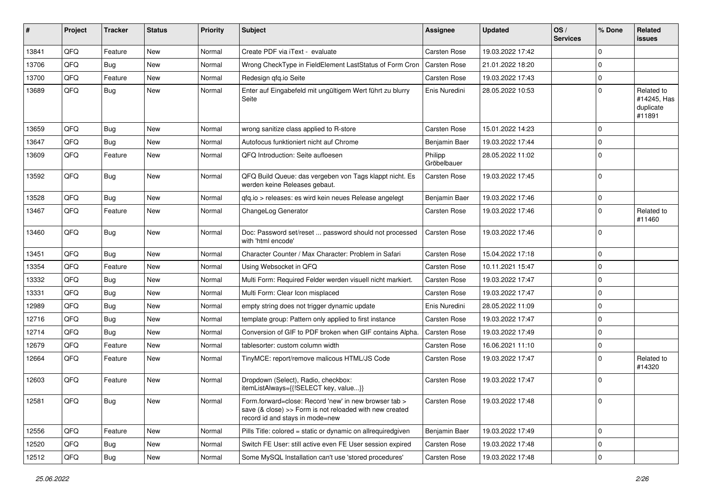| #     | Project | Tracker    | <b>Status</b> | <b>Priority</b> | Subject                                                                                                                                             | Assignee               | <b>Updated</b>   | OS/<br><b>Services</b> | % Done      | Related<br>issues                                |
|-------|---------|------------|---------------|-----------------|-----------------------------------------------------------------------------------------------------------------------------------------------------|------------------------|------------------|------------------------|-------------|--------------------------------------------------|
| 13841 | QFQ     | Feature    | New           | Normal          | Create PDF via iText - evaluate                                                                                                                     | Carsten Rose           | 19.03.2022 17:42 |                        | 0           |                                                  |
| 13706 | QFQ     | <b>Bug</b> | New           | Normal          | Wrong CheckType in FieldElement LastStatus of Form Cron                                                                                             | <b>Carsten Rose</b>    | 21.01.2022 18:20 |                        | $\Omega$    |                                                  |
| 13700 | QFQ     | Feature    | New           | Normal          | Redesign qfq.io Seite                                                                                                                               | Carsten Rose           | 19.03.2022 17:43 |                        | $\mathbf 0$ |                                                  |
| 13689 | QFQ     | Bug        | New           | Normal          | Enter auf Eingabefeld mit ungültigem Wert führt zu blurry<br>Seite                                                                                  | Enis Nuredini          | 28.05.2022 10:53 |                        | $\Omega$    | Related to<br>#14245, Has<br>duplicate<br>#11891 |
| 13659 | QFQ     | Bug        | New           | Normal          | wrong sanitize class applied to R-store                                                                                                             | Carsten Rose           | 15.01.2022 14:23 |                        | $\Omega$    |                                                  |
| 13647 | QFQ     | <b>Bug</b> | <b>New</b>    | Normal          | Autofocus funktioniert nicht auf Chrome                                                                                                             | Benjamin Baer          | 19.03.2022 17:44 |                        | $\Omega$    |                                                  |
| 13609 | QFQ     | Feature    | New           | Normal          | QFQ Introduction: Seite aufloesen                                                                                                                   | Philipp<br>Gröbelbauer | 28.05.2022 11:02 |                        | $\Omega$    |                                                  |
| 13592 | QFQ     | Bug        | New           | Normal          | QFQ Build Queue: das vergeben von Tags klappt nicht. Es<br>werden keine Releases gebaut.                                                            | Carsten Rose           | 19.03.2022 17:45 |                        | $\Omega$    |                                                  |
| 13528 | QFQ     | Bug        | New           | Normal          | qfq.io > releases: es wird kein neues Release angelegt                                                                                              | Benjamin Baer          | 19.03.2022 17:46 |                        | $\Omega$    |                                                  |
| 13467 | QFQ     | Feature    | <b>New</b>    | Normal          | ChangeLog Generator                                                                                                                                 | Carsten Rose           | 19.03.2022 17:46 |                        | $\Omega$    | Related to<br>#11460                             |
| 13460 | QFQ     | Bug        | New           | Normal          | Doc: Password set/reset  password should not processed<br>with 'html encode'                                                                        | Carsten Rose           | 19.03.2022 17:46 |                        | $\Omega$    |                                                  |
| 13451 | QFQ     | Bug        | New           | Normal          | Character Counter / Max Character: Problem in Safari                                                                                                | Carsten Rose           | 15.04.2022 17:18 |                        | $\Omega$    |                                                  |
| 13354 | QFQ     | Feature    | New           | Normal          | Using Websocket in QFQ                                                                                                                              | Carsten Rose           | 10.11.2021 15:47 |                        | $\Omega$    |                                                  |
| 13332 | QFQ     | Bug        | New           | Normal          | Multi Form: Required Felder werden visuell nicht markiert.                                                                                          | Carsten Rose           | 19.03.2022 17:47 |                        | $\Omega$    |                                                  |
| 13331 | QFQ     | Bug        | New           | Normal          | Multi Form: Clear Icon misplaced                                                                                                                    | Carsten Rose           | 19.03.2022 17:47 |                        | $\Omega$    |                                                  |
| 12989 | QFQ     | Bug        | New           | Normal          | empty string does not trigger dynamic update                                                                                                        | Enis Nuredini          | 28.05.2022 11:09 |                        | $\Omega$    |                                                  |
| 12716 | QFQ     | Bug        | New           | Normal          | template group: Pattern only applied to first instance                                                                                              | Carsten Rose           | 19.03.2022 17:47 |                        | $\Omega$    |                                                  |
| 12714 | QFQ     | <b>Bug</b> | <b>New</b>    | Normal          | Conversion of GIF to PDF broken when GIF contains Alpha.                                                                                            | Carsten Rose           | 19.03.2022 17:49 |                        | $\Omega$    |                                                  |
| 12679 | QFQ     | Feature    | New           | Normal          | tablesorter: custom column width                                                                                                                    | Carsten Rose           | 16.06.2021 11:10 |                        | $\mathbf 0$ |                                                  |
| 12664 | QFQ     | Feature    | New           | Normal          | TinyMCE: report/remove malicous HTML/JS Code                                                                                                        | Carsten Rose           | 19.03.2022 17:47 |                        | $\Omega$    | Related to<br>#14320                             |
| 12603 | QFQ     | Feature    | New           | Normal          | Dropdown (Select), Radio, checkbox:<br>itemListAlways={{!SELECT key, value}}                                                                        | Carsten Rose           | 19.03.2022 17:47 |                        | $\Omega$    |                                                  |
| 12581 | QFQ     | <b>Bug</b> | New           | Normal          | Form.forward=close: Record 'new' in new browser tab ><br>save (& close) >> Form is not reloaded with new created<br>record id and stays in mode=new | Carsten Rose           | 19.03.2022 17:48 |                        | 0           |                                                  |
| 12556 | QFQ     | Feature    | <b>New</b>    | Normal          | Pills Title: colored = static or dynamic on allrequiredgiven                                                                                        | Benjamin Baer          | 19.03.2022 17:49 |                        | $\mathbf 0$ |                                                  |
| 12520 | QFQ     | Bug        | New           | Normal          | Switch FE User: still active even FE User session expired                                                                                           | Carsten Rose           | 19.03.2022 17:48 |                        | 0           |                                                  |
| 12512 | QFQ     | <b>Bug</b> | New           | Normal          | Some MySQL Installation can't use 'stored procedures'                                                                                               | Carsten Rose           | 19.03.2022 17:48 |                        | $\mathbf 0$ |                                                  |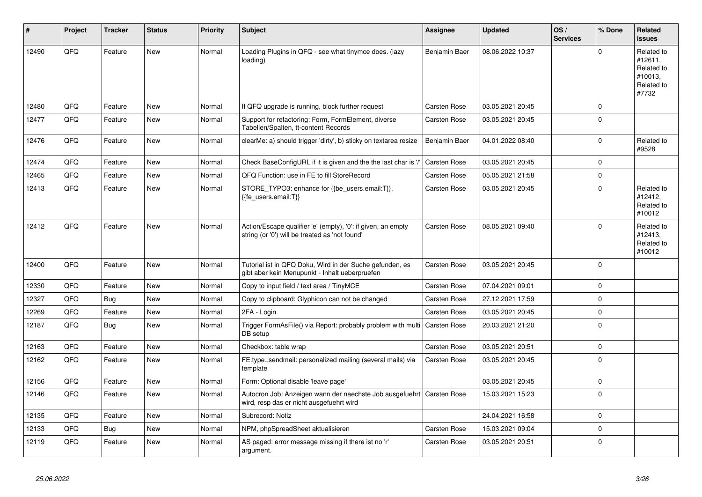| #     | Project | <b>Tracker</b> | <b>Status</b> | <b>Priority</b> | <b>Subject</b>                                                                                                 | Assignee            | <b>Updated</b>   | OS/<br><b>Services</b> | % Done      | Related<br><b>issues</b>                                              |
|-------|---------|----------------|---------------|-----------------|----------------------------------------------------------------------------------------------------------------|---------------------|------------------|------------------------|-------------|-----------------------------------------------------------------------|
| 12490 | QFQ     | Feature        | <b>New</b>    | Normal          | Loading Plugins in QFQ - see what tinymce does. (lazy<br>loading)                                              | Benjamin Baer       | 08.06.2022 10:37 |                        | $\Omega$    | Related to<br>#12611.<br>Related to<br>#10013,<br>Related to<br>#7732 |
| 12480 | QFQ     | Feature        | New           | Normal          | If QFQ upgrade is running, block further request                                                               | Carsten Rose        | 03.05.2021 20:45 |                        | $\Omega$    |                                                                       |
| 12477 | QFQ     | Feature        | New           | Normal          | Support for refactoring: Form, FormElement, diverse<br>Tabellen/Spalten, tt-content Records                    | Carsten Rose        | 03.05.2021 20:45 |                        | $\Omega$    |                                                                       |
| 12476 | QFQ     | Feature        | New           | Normal          | clearMe: a) should trigger 'dirty', b) sticky on textarea resize                                               | Benjamin Baer       | 04.01.2022 08:40 |                        | $\Omega$    | Related to<br>#9528                                                   |
| 12474 | QFQ     | Feature        | <b>New</b>    | Normal          | Check BaseConfigURL if it is given and the the last char is '/'                                                | Carsten Rose        | 03.05.2021 20:45 |                        | $\Omega$    |                                                                       |
| 12465 | QFQ     | Feature        | <b>New</b>    | Normal          | QFQ Function: use in FE to fill StoreRecord                                                                    | Carsten Rose        | 05.05.2021 21:58 |                        | $\Omega$    |                                                                       |
| 12413 | QFQ     | Feature        | <b>New</b>    | Normal          | STORE_TYPO3: enhance for {{be_users.email:T}},<br>{{fe users.email:T}}                                         | Carsten Rose        | 03.05.2021 20:45 |                        | $\Omega$    | Related to<br>#12412.<br>Related to<br>#10012                         |
| 12412 | QFQ     | Feature        | New           | Normal          | Action/Escape qualifier 'e' (empty), '0': if given, an empty<br>string (or '0') will be treated as 'not found' | Carsten Rose        | 08.05.2021 09:40 |                        | $\Omega$    | Related to<br>#12413,<br>Related to<br>#10012                         |
| 12400 | QFQ     | Feature        | <b>New</b>    | Normal          | Tutorial ist in QFQ Doku, Wird in der Suche gefunden, es<br>gibt aber kein Menupunkt - Inhalt ueberpruefen     | Carsten Rose        | 03.05.2021 20:45 |                        | $\Omega$    |                                                                       |
| 12330 | QFQ     | Feature        | <b>New</b>    | Normal          | Copy to input field / text area / TinyMCE                                                                      | Carsten Rose        | 07.04.2021 09:01 |                        | $\Omega$    |                                                                       |
| 12327 | QFQ     | Bug            | New           | Normal          | Copy to clipboard: Glyphicon can not be changed                                                                | Carsten Rose        | 27.12.2021 17:59 |                        | $\Omega$    |                                                                       |
| 12269 | QFQ     | Feature        | <b>New</b>    | Normal          | 2FA - Login                                                                                                    | Carsten Rose        | 03.05.2021 20:45 |                        | $\Omega$    |                                                                       |
| 12187 | QFQ     | <b>Bug</b>     | New           | Normal          | Trigger FormAsFile() via Report: probably problem with multi<br>DB setup                                       | <b>Carsten Rose</b> | 20.03.2021 21:20 |                        | $\Omega$    |                                                                       |
| 12163 | QFQ     | Feature        | <b>New</b>    | Normal          | Checkbox: table wrap                                                                                           | Carsten Rose        | 03.05.2021 20:51 |                        | $\Omega$    |                                                                       |
| 12162 | QFQ     | Feature        | New           | Normal          | FE.type=sendmail: personalized mailing (several mails) via<br>template                                         | Carsten Rose        | 03.05.2021 20:45 |                        | $\Omega$    |                                                                       |
| 12156 | QFQ     | Feature        | <b>New</b>    | Normal          | Form: Optional disable 'leave page'                                                                            |                     | 03.05.2021 20:45 |                        | $\mathbf 0$ |                                                                       |
| 12146 | QFQ     | Feature        | <b>New</b>    | Normal          | Autocron Job: Anzeigen wann der naechste Job ausgefuehrt<br>wird, resp das er nicht ausgefuehrt wird           | <b>Carsten Rose</b> | 15.03.2021 15:23 |                        | $\Omega$    |                                                                       |
| 12135 | QFQ     | Feature        | <b>New</b>    | Normal          | Subrecord: Notiz                                                                                               |                     | 24.04.2021 16:58 |                        | $\mathbf 0$ |                                                                       |
| 12133 | QFQ     | <b>Bug</b>     | <b>New</b>    | Normal          | NPM, phpSpreadSheet aktualisieren                                                                              | Carsten Rose        | 15.03.2021 09:04 |                        | $\mathbf 0$ |                                                                       |
| 12119 | QFQ     | Feature        | <b>New</b>    | Normal          | AS paged: error message missing if there ist no 'r'<br>argument.                                               | Carsten Rose        | 03.05.2021 20:51 |                        | $\Omega$    |                                                                       |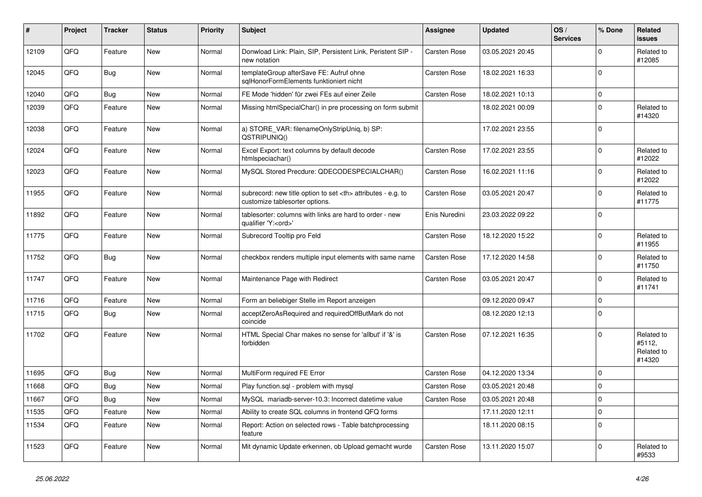| ∦     | Project | <b>Tracker</b> | <b>Status</b> | <b>Priority</b> | <b>Subject</b>                                                                                       | <b>Assignee</b>                                        | <b>Updated</b>   | OS/<br><b>Services</b> | % Done      | Related<br><b>issues</b>                     |                      |
|-------|---------|----------------|---------------|-----------------|------------------------------------------------------------------------------------------------------|--------------------------------------------------------|------------------|------------------------|-------------|----------------------------------------------|----------------------|
| 12109 | QFQ     | Feature        | <b>New</b>    | Normal          | Donwload Link: Plain, SIP, Persistent Link, Peristent SIP -<br>new notation                          | Carsten Rose                                           | 03.05.2021 20:45 |                        | $\Omega$    | Related to<br>#12085                         |                      |
| 12045 | QFQ     | Bug            | <b>New</b>    | Normal          | templateGroup afterSave FE: Aufruf ohne<br>sqlHonorFormElements funktioniert nicht                   | Carsten Rose                                           | 18.02.2021 16:33 |                        | $\mathbf 0$ |                                              |                      |
| 12040 | QFQ     | Bug            | <b>New</b>    | Normal          | FE Mode 'hidden' für zwei FEs auf einer Zeile                                                        | Carsten Rose                                           | 18.02.2021 10:13 |                        | $\Omega$    |                                              |                      |
| 12039 | QFQ     | Feature        | <b>New</b>    | Normal          | Missing htmlSpecialChar() in pre processing on form submit                                           |                                                        | 18.02.2021 00:09 |                        | $\Omega$    | Related to<br>#14320                         |                      |
| 12038 | QFQ     | Feature        | <b>New</b>    | Normal          | a) STORE_VAR: filenameOnlyStripUniq, b) SP:<br>QSTRIPUNIQ()                                          |                                                        | 17.02.2021 23:55 |                        | $\Omega$    |                                              |                      |
| 12024 | QFQ     | Feature        | <b>New</b>    | Normal          | Excel Export: text columns by default decode<br>htmlspeciachar()                                     | Carsten Rose                                           | 17.02.2021 23:55 |                        | $\Omega$    | Related to<br>#12022                         |                      |
| 12023 | QFQ     | Feature        | New           | Normal          | MySQL Stored Precdure: QDECODESPECIALCHAR()                                                          | Carsten Rose                                           | 16.02.2021 11:16 |                        | $\Omega$    | Related to<br>#12022                         |                      |
| 11955 | QFQ     | Feature        | <b>New</b>    | Normal          | subrecord: new title option to set <th> attributes - e.g. to<br/>customize tablesorter options.</th> | attributes - e.g. to<br>customize tablesorter options. | Carsten Rose     | 03.05.2021 20:47       |             | $\Omega$                                     | Related to<br>#11775 |
| 11892 | QFQ     | Feature        | <b>New</b>    | Normal          | tablesorter: columns with links are hard to order - new<br>qualifier 'Y: <ord>'</ord>                | Enis Nuredini                                          | 23.03.2022 09:22 |                        | $\Omega$    |                                              |                      |
| 11775 | QFQ     | Feature        | <b>New</b>    | Normal          | Subrecord Tooltip pro Feld                                                                           | Carsten Rose                                           | 18.12.2020 15:22 |                        | $\Omega$    | Related to<br>#11955                         |                      |
| 11752 | QFQ     | Bug            | <b>New</b>    | Normal          | checkbox renders multiple input elements with same name                                              | Carsten Rose                                           | 17.12.2020 14:58 |                        | $\Omega$    | Related to<br>#11750                         |                      |
| 11747 | QFQ     | Feature        | <b>New</b>    | Normal          | Maintenance Page with Redirect                                                                       | Carsten Rose                                           | 03.05.2021 20:47 |                        | $\mathbf 0$ | Related to<br>#11741                         |                      |
| 11716 | QFQ     | Feature        | <b>New</b>    | Normal          | Form an beliebiger Stelle im Report anzeigen                                                         |                                                        | 09.12.2020 09:47 |                        | $\mathbf 0$ |                                              |                      |
| 11715 | QFQ     | <b>Bug</b>     | <b>New</b>    | Normal          | acceptZeroAsRequired and requiredOffButMark do not<br>coincide                                       |                                                        | 08.12.2020 12:13 |                        | $\Omega$    |                                              |                      |
| 11702 | QFQ     | Feature        | <b>New</b>    | Normal          | HTML Special Char makes no sense for 'allbut' if '&' is<br>forbidden                                 | Carsten Rose                                           | 07.12.2021 16:35 |                        | $\Omega$    | Related to<br>#5112.<br>Related to<br>#14320 |                      |
| 11695 | QFQ     | Bug            | <b>New</b>    | Normal          | MultiForm required FE Error                                                                          | Carsten Rose                                           | 04.12.2020 13:34 |                        | $\mathbf 0$ |                                              |                      |
| 11668 | QFQ     | Bug            | <b>New</b>    | Normal          | Play function.sql - problem with mysql                                                               | Carsten Rose                                           | 03.05.2021 20:48 |                        | $\mathbf 0$ |                                              |                      |
| 11667 | QFQ     | Bug            | New           | Normal          | MySQL mariadb-server-10.3: Incorrect datetime value                                                  | Carsten Rose                                           | 03.05.2021 20:48 |                        | $\Omega$    |                                              |                      |
| 11535 | QFQ     | Feature        | <b>New</b>    | Normal          | Ability to create SQL columns in frontend QFQ forms                                                  |                                                        | 17.11.2020 12:11 |                        | $\mathbf 0$ |                                              |                      |
| 11534 | QFQ     | Feature        | <b>New</b>    | Normal          | Report: Action on selected rows - Table batchprocessing<br>feature                                   |                                                        | 18.11.2020 08:15 |                        | $\mathbf 0$ |                                              |                      |
| 11523 | QFQ     | Feature        | <b>New</b>    | Normal          | Mit dynamic Update erkennen, ob Upload gemacht wurde                                                 | Carsten Rose                                           | 13.11.2020 15:07 |                        | $\Omega$    | Related to<br>#9533                          |                      |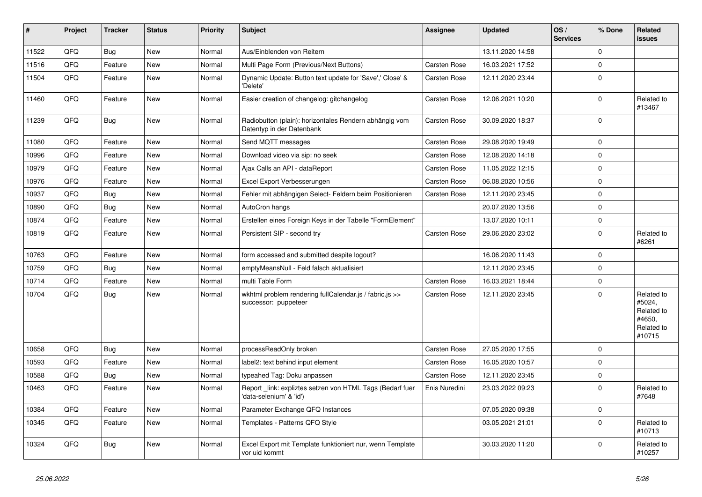| #     | Project | <b>Tracker</b> | <b>Status</b> | <b>Priority</b> | <b>Subject</b>                                                                       | Assignee            | Updated          | OS/<br><b>Services</b> | % Done      | Related<br><b>issues</b>                                             |
|-------|---------|----------------|---------------|-----------------|--------------------------------------------------------------------------------------|---------------------|------------------|------------------------|-------------|----------------------------------------------------------------------|
| 11522 | QFQ     | <b>Bug</b>     | <b>New</b>    | Normal          | Aus/Einblenden von Reitern                                                           |                     | 13.11.2020 14:58 |                        | $\Omega$    |                                                                      |
| 11516 | QFQ     | Feature        | <b>New</b>    | Normal          | Multi Page Form (Previous/Next Buttons)                                              | Carsten Rose        | 16.03.2021 17:52 |                        | $\mathbf 0$ |                                                                      |
| 11504 | QFQ     | Feature        | <b>New</b>    | Normal          | Dynamic Update: Button text update for 'Save',' Close' &<br>'Delete'                 | Carsten Rose        | 12.11.2020 23:44 |                        | $\mathbf 0$ |                                                                      |
| 11460 | QFQ     | Feature        | <b>New</b>    | Normal          | Easier creation of changelog: gitchangelog                                           | Carsten Rose        | 12.06.2021 10:20 |                        | $\Omega$    | Related to<br>#13467                                                 |
| 11239 | QFQ     | Bug            | New           | Normal          | Radiobutton (plain): horizontales Rendern abhängig vom<br>Datentyp in der Datenbank  | Carsten Rose        | 30.09.2020 18:37 |                        | $\Omega$    |                                                                      |
| 11080 | QFQ     | Feature        | New           | Normal          | Send MQTT messages                                                                   | Carsten Rose        | 29.08.2020 19:49 |                        | $\mathbf 0$ |                                                                      |
| 10996 | QFQ     | Feature        | New           | Normal          | Download video via sip: no seek                                                      | Carsten Rose        | 12.08.2020 14:18 |                        | $\mathbf 0$ |                                                                      |
| 10979 | QFQ     | Feature        | New           | Normal          | Ajax Calls an API - dataReport                                                       | <b>Carsten Rose</b> | 11.05.2022 12:15 |                        | $\Omega$    |                                                                      |
| 10976 | QFQ     | Feature        | <b>New</b>    | Normal          | Excel Export Verbesserungen                                                          | Carsten Rose        | 06.08.2020 10:56 |                        | $\Omega$    |                                                                      |
| 10937 | QFQ     | Bug            | New           | Normal          | Fehler mit abhängigen Select- Feldern beim Positionieren                             | Carsten Rose        | 12.11.2020 23:45 |                        | $\Omega$    |                                                                      |
| 10890 | QFQ     | <b>Bug</b>     | <b>New</b>    | Normal          | AutoCron hangs                                                                       |                     | 20.07.2020 13:56 |                        | $\Omega$    |                                                                      |
| 10874 | QFQ     | Feature        | <b>New</b>    | Normal          | Erstellen eines Foreign Keys in der Tabelle "FormElement"                            |                     | 13.07.2020 10:11 |                        | $\mathbf 0$ |                                                                      |
| 10819 | QFQ     | Feature        | <b>New</b>    | Normal          | Persistent SIP - second try                                                          | Carsten Rose        | 29.06.2020 23:02 |                        | $\Omega$    | Related to<br>#6261                                                  |
| 10763 | QFQ     | Feature        | New           | Normal          | form accessed and submitted despite logout?                                          |                     | 16.06.2020 11:43 |                        | $\Omega$    |                                                                      |
| 10759 | QFQ     | Bug            | <b>New</b>    | Normal          | emptyMeansNull - Feld falsch aktualisiert                                            |                     | 12.11.2020 23:45 |                        | $\mathbf 0$ |                                                                      |
| 10714 | QFQ     | Feature        | New           | Normal          | multi Table Form                                                                     | <b>Carsten Rose</b> | 16.03.2021 18:44 |                        | $\mathbf 0$ |                                                                      |
| 10704 | QFQ     | <b>Bug</b>     | New           | Normal          | wkhtml problem rendering fullCalendar.js / fabric.js >><br>successor: puppeteer      | Carsten Rose        | 12.11.2020 23:45 |                        | $\Omega$    | Related to<br>#5024,<br>Related to<br>#4650.<br>Related to<br>#10715 |
| 10658 | QFQ     | Bug            | <b>New</b>    | Normal          | processReadOnly broken                                                               | <b>Carsten Rose</b> | 27.05.2020 17:55 |                        | $\Omega$    |                                                                      |
| 10593 | QFQ     | Feature        | New           | Normal          | label2: text behind input element                                                    | Carsten Rose        | 16.05.2020 10:57 |                        | $\Omega$    |                                                                      |
| 10588 | QFQ     | <b>Bug</b>     | New           | Normal          | typeahed Tag: Doku anpassen                                                          | Carsten Rose        | 12.11.2020 23:45 |                        | $\mathbf 0$ |                                                                      |
| 10463 | QFQ     | Feature        | <b>New</b>    | Normal          | Report _link: expliztes setzen von HTML Tags (Bedarf fuer<br>'data-selenium' & 'id') | Enis Nuredini       | 23.03.2022 09:23 |                        | $\Omega$    | Related to<br>#7648                                                  |
| 10384 | QFQ     | Feature        | New           | Normal          | Parameter Exchange QFQ Instances                                                     |                     | 07.05.2020 09:38 |                        | $\mathbf 0$ |                                                                      |
| 10345 | QFQ     | Feature        | New           | Normal          | Templates - Patterns QFQ Style                                                       |                     | 03.05.2021 21:01 |                        | $\Omega$    | Related to<br>#10713                                                 |
| 10324 | QFQ     | Bug            | <b>New</b>    | Normal          | Excel Export mit Template funktioniert nur, wenn Template<br>vor uid kommt           |                     | 30.03.2020 11:20 |                        | $\Omega$    | Related to<br>#10257                                                 |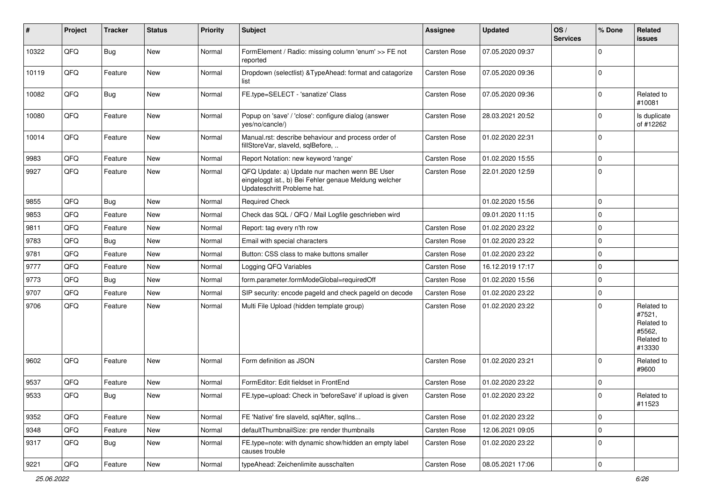| #     | Project | <b>Tracker</b> | <b>Status</b> | <b>Priority</b> | Subject                                                                                                                               | <b>Assignee</b>     | <b>Updated</b>   | OS/<br><b>Services</b> | % Done         | Related<br>issues                                                    |
|-------|---------|----------------|---------------|-----------------|---------------------------------------------------------------------------------------------------------------------------------------|---------------------|------------------|------------------------|----------------|----------------------------------------------------------------------|
| 10322 | QFQ     | Bug            | New           | Normal          | FormElement / Radio: missing column 'enum' >> FE not<br>reported                                                                      | <b>Carsten Rose</b> | 07.05.2020 09:37 |                        | $\Omega$       |                                                                      |
| 10119 | QFQ     | Feature        | New           | Normal          | Dropdown (selectlist) & TypeAhead: format and catagorize<br>list                                                                      | <b>Carsten Rose</b> | 07.05.2020 09:36 |                        | $\Omega$       |                                                                      |
| 10082 | QFQ     | Bug            | New           | Normal          | FE.type=SELECT - 'sanatize' Class                                                                                                     | <b>Carsten Rose</b> | 07.05.2020 09:36 |                        | $\Omega$       | Related to<br>#10081                                                 |
| 10080 | QFQ     | Feature        | New           | Normal          | Popup on 'save' / 'close': configure dialog (answer<br>yes/no/cancle/)                                                                | <b>Carsten Rose</b> | 28.03.2021 20:52 |                        | $\Omega$       | Is duplicate<br>of #12262                                            |
| 10014 | QFQ     | Feature        | New           | Normal          | Manual.rst: describe behaviour and process order of<br>fillStoreVar, slaveId, sqlBefore,                                              | <b>Carsten Rose</b> | 01.02.2020 22:31 |                        | $\Omega$       |                                                                      |
| 9983  | QFQ     | Feature        | New           | Normal          | Report Notation: new keyword 'range'                                                                                                  | <b>Carsten Rose</b> | 01.02.2020 15:55 |                        | $\Omega$       |                                                                      |
| 9927  | QFQ     | Feature        | New           | Normal          | QFQ Update: a) Update nur machen wenn BE User<br>eingeloggt ist., b) Bei Fehler genaue Meldung welcher<br>Updateschritt Probleme hat. | <b>Carsten Rose</b> | 22.01.2020 12:59 |                        | $\mathbf 0$    |                                                                      |
| 9855  | QFQ     | Bug            | New           | Normal          | <b>Required Check</b>                                                                                                                 |                     | 01.02.2020 15:56 |                        | $\mathbf 0$    |                                                                      |
| 9853  | QFQ     | Feature        | New           | Normal          | Check das SQL / QFQ / Mail Logfile geschrieben wird                                                                                   |                     | 09.01.2020 11:15 |                        | $\Omega$       |                                                                      |
| 9811  | QFQ     | Feature        | New           | Normal          | Report: tag every n'th row                                                                                                            | <b>Carsten Rose</b> | 01.02.2020 23:22 |                        | $\Omega$       |                                                                      |
| 9783  | QFQ     | Bug            | New           | Normal          | Email with special characters                                                                                                         | <b>Carsten Rose</b> | 01.02.2020 23:22 |                        | $\Omega$       |                                                                      |
| 9781  | QFQ     | Feature        | New           | Normal          | Button: CSS class to make buttons smaller                                                                                             | <b>Carsten Rose</b> | 01.02.2020 23:22 |                        | $\Omega$       |                                                                      |
| 9777  | QFQ     | Feature        | New           | Normal          | Logging QFQ Variables                                                                                                                 | <b>Carsten Rose</b> | 16.12.2019 17:17 |                        | $\Omega$       |                                                                      |
| 9773  | QFQ     | Bug            | New           | Normal          | form.parameter.formModeGlobal=requiredOff                                                                                             | <b>Carsten Rose</b> | 01.02.2020 15:56 |                        | $\Omega$       |                                                                      |
| 9707  | QFQ     | Feature        | New           | Normal          | SIP security: encode pageld and check pageld on decode                                                                                | <b>Carsten Rose</b> | 01.02.2020 23:22 |                        | $\mathbf 0$    |                                                                      |
| 9706  | QFQ     | Feature        | New           | Normal          | Multi File Upload (hidden template group)                                                                                             | <b>Carsten Rose</b> | 01.02.2020 23:22 |                        | $\Omega$       | Related to<br>#7521,<br>Related to<br>#5562.<br>Related to<br>#13330 |
| 9602  | QFQ     | Feature        | New           | Normal          | Form definition as JSON                                                                                                               | <b>Carsten Rose</b> | 01.02.2020 23:21 |                        | $\Omega$       | Related to<br>#9600                                                  |
| 9537  | QFQ     | Feature        | New           | Normal          | FormEditor: Edit fieldset in FrontEnd                                                                                                 | Carsten Rose        | 01.02.2020 23:22 |                        | $\mathbf 0$    |                                                                      |
| 9533  | QFQ     | Bug            | New           | Normal          | FE.type=upload: Check in 'beforeSave' if upload is given                                                                              | Carsten Rose        | 01.02.2020 23:22 |                        | $\overline{0}$ | Related to<br>#11523                                                 |
| 9352  | QFQ     | Feature        | New           | Normal          | FE 'Native' fire slaveld, sqlAfter, sqlIns                                                                                            | Carsten Rose        | 01.02.2020 23:22 |                        | $\mathbf 0$    |                                                                      |
| 9348  | QFQ     | Feature        | New           | Normal          | defaultThumbnailSize: pre render thumbnails                                                                                           | Carsten Rose        | 12.06.2021 09:05 |                        | 0              |                                                                      |
| 9317  | QFQ     | <b>Bug</b>     | New           | Normal          | FE.type=note: with dynamic show/hidden an empty label<br>causes trouble                                                               | Carsten Rose        | 01.02.2020 23:22 |                        | 0              |                                                                      |
| 9221  | QFQ     | Feature        | New           | Normal          | typeAhead: Zeichenlimite ausschalten                                                                                                  | Carsten Rose        | 08.05.2021 17:06 |                        | 0              |                                                                      |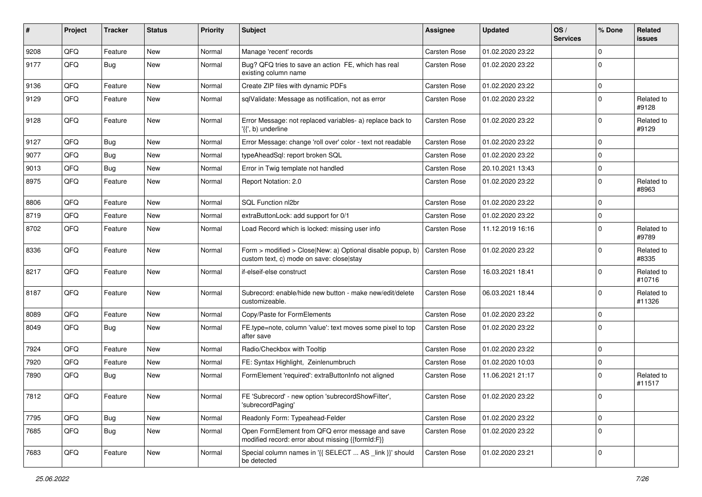| #    | Project | <b>Tracker</b> | <b>Status</b> | <b>Priority</b> | Subject                                                                                                | Assignee            | <b>Updated</b>   | OS/<br><b>Services</b> | % Done      | Related<br>issues    |
|------|---------|----------------|---------------|-----------------|--------------------------------------------------------------------------------------------------------|---------------------|------------------|------------------------|-------------|----------------------|
| 9208 | QFQ     | Feature        | New           | Normal          | Manage 'recent' records                                                                                | Carsten Rose        | 01.02.2020 23:22 |                        | $\Omega$    |                      |
| 9177 | QFQ     | Bug            | <b>New</b>    | Normal          | Bug? QFQ tries to save an action FE, which has real<br>existing column name                            | Carsten Rose        | 01.02.2020 23:22 |                        | $\mathbf 0$ |                      |
| 9136 | QFQ     | Feature        | <b>New</b>    | Normal          | Create ZIP files with dynamic PDFs                                                                     | <b>Carsten Rose</b> | 01.02.2020 23:22 |                        | $\mathbf 0$ |                      |
| 9129 | QFQ     | Feature        | New           | Normal          | sqlValidate: Message as notification, not as error                                                     | Carsten Rose        | 01.02.2020 23:22 |                        | $\Omega$    | Related to<br>#9128  |
| 9128 | QFQ     | Feature        | New           | Normal          | Error Message: not replaced variables- a) replace back to<br>$\langle \{ \cdot, b \rangle$ underline   | <b>Carsten Rose</b> | 01.02.2020 23:22 |                        | $\mathbf 0$ | Related to<br>#9129  |
| 9127 | QFQ     | <b>Bug</b>     | <b>New</b>    | Normal          | Error Message: change 'roll over' color - text not readable                                            | <b>Carsten Rose</b> | 01.02.2020 23:22 |                        | $\mathbf 0$ |                      |
| 9077 | QFQ     | <b>Bug</b>     | New           | Normal          | typeAheadSql: report broken SQL                                                                        | Carsten Rose        | 01.02.2020 23:22 |                        | $\mathbf 0$ |                      |
| 9013 | QFQ     | <b>Bug</b>     | <b>New</b>    | Normal          | Error in Twig template not handled                                                                     | Carsten Rose        | 20.10.2021 13:43 |                        | $\mathbf 0$ |                      |
| 8975 | QFQ     | Feature        | <b>New</b>    | Normal          | Report Notation: 2.0                                                                                   | Carsten Rose        | 01.02.2020 23:22 |                        | $\Omega$    | Related to<br>#8963  |
| 8806 | QFQ     | Feature        | <b>New</b>    | Normal          | SQL Function nl2br                                                                                     | Carsten Rose        | 01.02.2020 23:22 |                        | $\Omega$    |                      |
| 8719 | QFQ     | Feature        | New           | Normal          | extraButtonLock: add support for 0/1                                                                   | Carsten Rose        | 01.02.2020 23:22 |                        | $\mathbf 0$ |                      |
| 8702 | QFQ     | Feature        | New           | Normal          | Load Record which is locked: missing user info                                                         | Carsten Rose        | 11.12.2019 16:16 |                        | $\Omega$    | Related to<br>#9789  |
| 8336 | QFQ     | Feature        | New           | Normal          | Form > modified > Close New: a) Optional disable popup, b)<br>custom text, c) mode on save: close stay | Carsten Rose        | 01.02.2020 23:22 |                        | $\mathbf 0$ | Related to<br>#8335  |
| 8217 | QFQ     | Feature        | New           | Normal          | if-elseif-else construct                                                                               | Carsten Rose        | 16.03.2021 18:41 |                        | $\mathbf 0$ | Related to<br>#10716 |
| 8187 | QFQ     | Feature        | New           | Normal          | Subrecord: enable/hide new button - make new/edit/delete<br>customizeable.                             | Carsten Rose        | 06.03.2021 18:44 |                        | $\mathbf 0$ | Related to<br>#11326 |
| 8089 | QFQ     | Feature        | New           | Normal          | Copy/Paste for FormElements                                                                            | Carsten Rose        | 01.02.2020 23:22 |                        | $\Omega$    |                      |
| 8049 | QFQ     | <b>Bug</b>     | <b>New</b>    | Normal          | FE.type=note, column 'value': text moves some pixel to top<br>after save                               | Carsten Rose        | 01.02.2020 23:22 |                        | $\Omega$    |                      |
| 7924 | QFQ     | Feature        | <b>New</b>    | Normal          | Radio/Checkbox with Tooltip                                                                            | Carsten Rose        | 01.02.2020 23:22 |                        | $\Omega$    |                      |
| 7920 | QFQ     | Feature        | <b>New</b>    | Normal          | FE: Syntax Highlight, Zeinlenumbruch                                                                   | Carsten Rose        | 01.02.2020 10:03 |                        | $\mathbf 0$ |                      |
| 7890 | QFQ     | <b>Bug</b>     | New           | Normal          | FormElement 'required': extraButtonInfo not aligned                                                    | Carsten Rose        | 11.06.2021 21:17 |                        | $\Omega$    | Related to<br>#11517 |
| 7812 | QFQ     | Feature        | New           | Normal          | FE 'Subrecord' - new option 'subrecordShowFilter',<br>'subrecordPaging'                                | Carsten Rose        | 01.02.2020 23:22 |                        | $\Omega$    |                      |
| 7795 | QFQ     | Bug            | New           | Normal          | Readonly Form: Typeahead-Felder                                                                        | Carsten Rose        | 01.02.2020 23:22 |                        | 0           |                      |
| 7685 | QFQ     | <b>Bug</b>     | New           | Normal          | Open FormElement from QFQ error message and save<br>modified record: error about missing {{formId:F}}  | Carsten Rose        | 01.02.2020 23:22 |                        | $\mathbf 0$ |                      |
| 7683 | QFQ     | Feature        | New           | Normal          | Special column names in '{{ SELECT  AS _link }}' should<br>be detected                                 | Carsten Rose        | 01.02.2020 23:21 |                        | 0           |                      |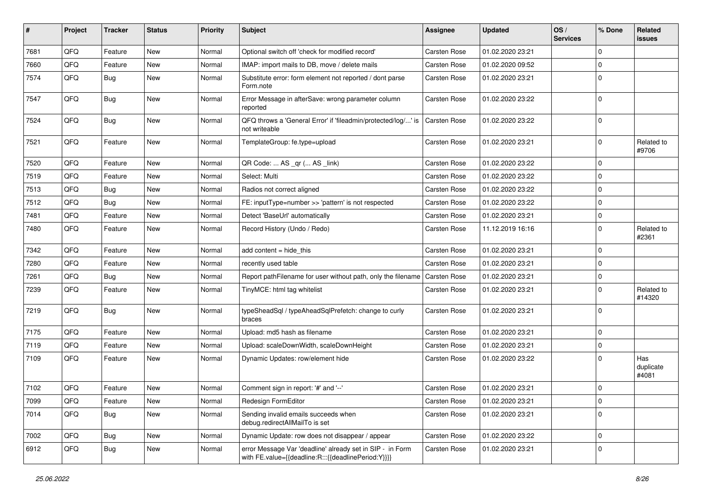| #    | Project | <b>Tracker</b> | <b>Status</b> | <b>Priority</b> | Subject                                                                                                          | Assignee            | <b>Updated</b>   | OS/<br><b>Services</b> | % Done      | Related<br>issues         |
|------|---------|----------------|---------------|-----------------|------------------------------------------------------------------------------------------------------------------|---------------------|------------------|------------------------|-------------|---------------------------|
| 7681 | QFQ     | Feature        | New           | Normal          | Optional switch off 'check for modified record'                                                                  | Carsten Rose        | 01.02.2020 23:21 |                        | $\Omega$    |                           |
| 7660 | QFQ     | Feature        | New           | Normal          | IMAP: import mails to DB, move / delete mails                                                                    | <b>Carsten Rose</b> | 01.02.2020 09:52 |                        | $\Omega$    |                           |
| 7574 | QFQ     | <b>Bug</b>     | New           | Normal          | Substitute error: form element not reported / dont parse<br>Form.note                                            | <b>Carsten Rose</b> | 01.02.2020 23:21 |                        | $\Omega$    |                           |
| 7547 | QFQ     | Bug            | New           | Normal          | Error Message in afterSave: wrong parameter column<br>reported                                                   | <b>Carsten Rose</b> | 01.02.2020 23:22 |                        | $\Omega$    |                           |
| 7524 | QFQ     | Bug            | New           | Normal          | QFQ throws a 'General Error' if 'fileadmin/protected/log/' is<br>not writeable                                   | <b>Carsten Rose</b> | 01.02.2020 23:22 |                        | 0           |                           |
| 7521 | QFQ     | Feature        | New           | Normal          | TemplateGroup: fe.type=upload                                                                                    | <b>Carsten Rose</b> | 01.02.2020 23:21 |                        | 0           | Related to<br>#9706       |
| 7520 | QFQ     | Feature        | New           | Normal          | QR Code:  AS _qr ( AS _link)                                                                                     | <b>Carsten Rose</b> | 01.02.2020 23:22 |                        | $\Omega$    |                           |
| 7519 | QFQ     | Feature        | New           | Normal          | Select: Multi                                                                                                    | <b>Carsten Rose</b> | 01.02.2020 23:22 |                        | 0           |                           |
| 7513 | QFQ     | Bug            | New           | Normal          | Radios not correct aligned                                                                                       | <b>Carsten Rose</b> | 01.02.2020 23:22 |                        | $\Omega$    |                           |
| 7512 | QFQ     | Bug            | New           | Normal          | FE: inputType=number >> 'pattern' is not respected                                                               | Carsten Rose        | 01.02.2020 23:22 |                        | 0           |                           |
| 7481 | QFQ     | Feature        | New           | Normal          | Detect 'BaseUrl' automatically                                                                                   | <b>Carsten Rose</b> | 01.02.2020 23:21 |                        | 0           |                           |
| 7480 | QFQ     | Feature        | New           | Normal          | Record History (Undo / Redo)                                                                                     | Carsten Rose        | 11.12.2019 16:16 |                        | $\Omega$    | Related to<br>#2361       |
| 7342 | QFQ     | Feature        | New           | Normal          | add content $=$ hide this                                                                                        | Carsten Rose        | 01.02.2020 23:21 |                        | 0           |                           |
| 7280 | QFQ     | Feature        | New           | Normal          | recently used table                                                                                              | <b>Carsten Rose</b> | 01.02.2020 23:21 |                        | $\mathbf 0$ |                           |
| 7261 | QFQ     | Bug            | New           | Normal          | Report pathFilename for user without path, only the filename Carsten Rose                                        |                     | 01.02.2020 23:21 |                        | 0           |                           |
| 7239 | QFQ     | Feature        | New           | Normal          | TinyMCE: html tag whitelist                                                                                      | <b>Carsten Rose</b> | 01.02.2020 23:21 |                        | $\Omega$    | Related to<br>#14320      |
| 7219 | QFQ     | <b>Bug</b>     | New           | Normal          | typeSheadSql / typeAheadSqlPrefetch: change to curly<br>braces                                                   | <b>Carsten Rose</b> | 01.02.2020 23:21 |                        | 0           |                           |
| 7175 | QFQ     | Feature        | New           | Normal          | Upload: md5 hash as filename                                                                                     | <b>Carsten Rose</b> | 01.02.2020 23:21 |                        | 0           |                           |
| 7119 | QFQ     | Feature        | New           | Normal          | Upload: scaleDownWidth, scaleDownHeight                                                                          | <b>Carsten Rose</b> | 01.02.2020 23:21 |                        | 0           |                           |
| 7109 | QFQ     | Feature        | New           | Normal          | Dynamic Updates: row/element hide                                                                                | <b>Carsten Rose</b> | 01.02.2020 23:22 |                        | $\Omega$    | Has<br>duplicate<br>#4081 |
| 7102 | QFQ     | Feature        | New           | Normal          | Comment sign in report: '#' and '--'                                                                             | <b>Carsten Rose</b> | 01.02.2020 23:21 |                        | $\Omega$    |                           |
| 7099 | QFQ     | Feature        | New           | Normal          | Redesign FormEditor                                                                                              | Carsten Rose        | 01.02.2020 23:21 |                        | l 0         |                           |
| 7014 | QFQ     | <b>Bug</b>     | New           | Normal          | Sending invalid emails succeeds when<br>debug.redirectAllMailTo is set                                           | Carsten Rose        | 01.02.2020 23:21 |                        | $\mathbf 0$ |                           |
| 7002 | QFQ     | Bug            | New           | Normal          | Dynamic Update: row does not disappear / appear                                                                  | Carsten Rose        | 01.02.2020 23:22 |                        | $\mathbf 0$ |                           |
| 6912 | QFQ     | Bug            | New           | Normal          | error Message Var 'deadline' already set in SIP - in Form<br>with FE.value={{deadline:R:::{{deadlinePeriod:Y}}}} | Carsten Rose        | 01.02.2020 23:21 |                        | $\mathbf 0$ |                           |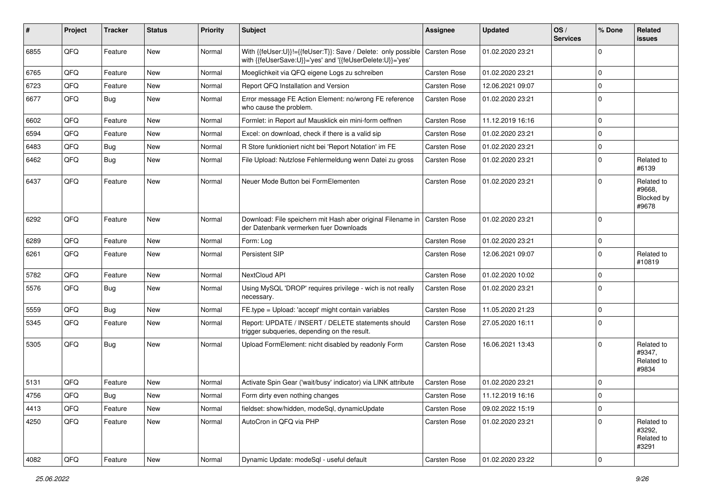| ∦    | Project | <b>Tracker</b> | <b>Status</b> | <b>Priority</b> | <b>Subject</b>                                                                                                                            | Assignee            | <b>Updated</b>   | OS/<br><b>Services</b> | % Done      | Related<br>issues                           |
|------|---------|----------------|---------------|-----------------|-------------------------------------------------------------------------------------------------------------------------------------------|---------------------|------------------|------------------------|-------------|---------------------------------------------|
| 6855 | QFQ     | Feature        | New           | Normal          | With {{feUser:U}}!={{feUser:T}}: Save / Delete: only possible   Carsten Rose<br>with {{feUserSave:U}}='yes' and '{{feUserDelete:U}}='yes' |                     | 01.02.2020 23:21 |                        | $\Omega$    |                                             |
| 6765 | QFQ     | Feature        | <b>New</b>    | Normal          | Moeglichkeit via QFQ eigene Logs zu schreiben                                                                                             | Carsten Rose        | 01.02.2020 23:21 |                        | 0           |                                             |
| 6723 | QFQ     | Feature        | <b>New</b>    | Normal          | Report QFQ Installation and Version                                                                                                       | Carsten Rose        | 12.06.2021 09:07 |                        | 0           |                                             |
| 6677 | QFQ     | Bug            | New           | Normal          | Error message FE Action Element: no/wrong FE reference<br>who cause the problem.                                                          | Carsten Rose        | 01.02.2020 23:21 |                        | $\Omega$    |                                             |
| 6602 | QFQ     | Feature        | <b>New</b>    | Normal          | Formlet: in Report auf Mausklick ein mini-form oeffnen                                                                                    | Carsten Rose        | 11.12.2019 16:16 |                        | 0           |                                             |
| 6594 | QFQ     | Feature        | New           | Normal          | Excel: on download, check if there is a valid sip                                                                                         | Carsten Rose        | 01.02.2020 23:21 |                        | $\Omega$    |                                             |
| 6483 | QFQ     | Bug            | <b>New</b>    | Normal          | R Store funktioniert nicht bei 'Report Notation' im FE                                                                                    | Carsten Rose        | 01.02.2020 23:21 |                        | $\Omega$    |                                             |
| 6462 | QFQ     | Bug            | New           | Normal          | File Upload: Nutzlose Fehlermeldung wenn Datei zu gross                                                                                   | Carsten Rose        | 01.02.2020 23:21 |                        | $\Omega$    | Related to<br>#6139                         |
| 6437 | QFQ     | Feature        | New           | Normal          | Neuer Mode Button bei FormElementen                                                                                                       | Carsten Rose        | 01.02.2020 23:21 |                        | $\Omega$    | Related to<br>#9668.<br>Blocked by<br>#9678 |
| 6292 | QFQ     | Feature        | <b>New</b>    | Normal          | Download: File speichern mit Hash aber original Filename in<br>der Datenbank vermerken fuer Downloads                                     | <b>Carsten Rose</b> | 01.02.2020 23:21 |                        | $\Omega$    |                                             |
| 6289 | QFQ     | Feature        | <b>New</b>    | Normal          | Form: Log                                                                                                                                 | Carsten Rose        | 01.02.2020 23:21 |                        | 0           |                                             |
| 6261 | QFQ     | Feature        | New           | Normal          | Persistent SIP                                                                                                                            | Carsten Rose        | 12.06.2021 09:07 |                        | $\Omega$    | Related to<br>#10819                        |
| 5782 | QFQ     | Feature        | New           | Normal          | NextCloud API                                                                                                                             | Carsten Rose        | 01.02.2020 10:02 |                        | 0           |                                             |
| 5576 | QFQ     | Bug            | <b>New</b>    | Normal          | Using MySQL 'DROP' requires privilege - wich is not really<br>necessary.                                                                  | Carsten Rose        | 01.02.2020 23:21 |                        | $\Omega$    |                                             |
| 5559 | QFQ     | Bug            | <b>New</b>    | Normal          | FE.type = Upload: 'accept' might contain variables                                                                                        | Carsten Rose        | 11.05.2020 21:23 |                        | $\Omega$    |                                             |
| 5345 | QFQ     | Feature        | New           | Normal          | Report: UPDATE / INSERT / DELETE statements should<br>trigger subqueries, depending on the result.                                        | Carsten Rose        | 27.05.2020 16:11 |                        | $\Omega$    |                                             |
| 5305 | QFQ     | Bug            | New           | Normal          | Upload FormElement: nicht disabled by readonly Form                                                                                       | Carsten Rose        | 16.06.2021 13:43 |                        | $\Omega$    | Related to<br>#9347,<br>Related to<br>#9834 |
| 5131 | QFQ     | Feature        | <b>New</b>    | Normal          | Activate Spin Gear ('wait/busy' indicator) via LINK attribute                                                                             | Carsten Rose        | 01.02.2020 23:21 |                        | 0           |                                             |
| 4756 | QFQ     | Bug            | New           | Normal          | Form dirty even nothing changes                                                                                                           | Carsten Rose        | 11.12.2019 16:16 |                        | $\Omega$    |                                             |
| 4413 | QFQ     | Feature        | New           | Normal          | fieldset: show/hidden, modeSql, dynamicUpdate                                                                                             | Carsten Rose        | 09.02.2022 15:19 |                        | $\mathbf 0$ |                                             |
| 4250 | QFQ     | Feature        | New           | Normal          | AutoCron in QFQ via PHP                                                                                                                   | Carsten Rose        | 01.02.2020 23:21 |                        | $\Omega$    | Related to<br>#3292,<br>Related to<br>#3291 |
| 4082 | QFQ     | Feature        | New           | Normal          | Dynamic Update: modeSql - useful default                                                                                                  | Carsten Rose        | 01.02.2020 23:22 |                        | 0           |                                             |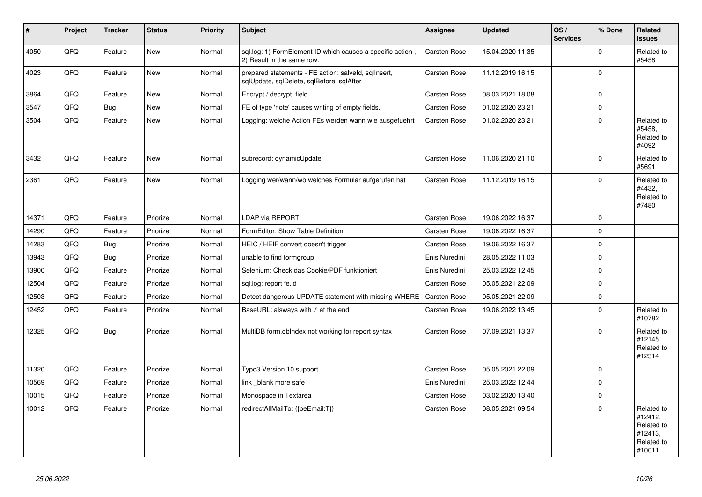| ∥#    | <b>Project</b> | <b>Tracker</b> | <b>Status</b> | <b>Priority</b> | <b>Subject</b>                                                                                    | <b>Assignee</b> | <b>Updated</b>   | OS/<br><b>Services</b> | % Done         | Related<br>issues                                                      |
|-------|----------------|----------------|---------------|-----------------|---------------------------------------------------------------------------------------------------|-----------------|------------------|------------------------|----------------|------------------------------------------------------------------------|
| 4050  | QFQ            | Feature        | New           | Normal          | sql.log: 1) FormElement ID which causes a specific action,<br>2) Result in the same row.          | Carsten Rose    | 15.04.2020 11:35 |                        | $\Omega$       | Related to<br>#5458                                                    |
| 4023  | QFQ            | Feature        | New           | Normal          | prepared statements - FE action: salveld, sqllnsert,<br>sqlUpdate, sqlDelete, sqlBefore, sqlAfter | Carsten Rose    | 11.12.2019 16:15 |                        | $\overline{0}$ |                                                                        |
| 3864  | QFQ            | Feature        | <b>New</b>    | Normal          | Encrypt / decrypt field                                                                           | Carsten Rose    | 08.03.2021 18:08 |                        | $\mathbf 0$    |                                                                        |
| 3547  | QFQ            | Bug            | New           | Normal          | FE of type 'note' causes writing of empty fields.                                                 | Carsten Rose    | 01.02.2020 23:21 |                        | $\Omega$       |                                                                        |
| 3504  | QFQ            | Feature        | <b>New</b>    | Normal          | Logging: welche Action FEs werden wann wie ausgefuehrt                                            | Carsten Rose    | 01.02.2020 23:21 |                        | $\mathbf 0$    | Related to<br>#5458,<br>Related to<br>#4092                            |
| 3432  | QFQ            | Feature        | <b>New</b>    | Normal          | subrecord: dynamicUpdate                                                                          | Carsten Rose    | 11.06.2020 21:10 |                        | $\Omega$       | Related to<br>#5691                                                    |
| 2361  | QFQ            | Feature        | New           | Normal          | Logging wer/wann/wo welches Formular aufgerufen hat                                               | Carsten Rose    | 11.12.2019 16:15 |                        | $\Omega$       | Related to<br>#4432,<br>Related to<br>#7480                            |
| 14371 | QFQ            | Feature        | Priorize      | Normal          | <b>LDAP via REPORT</b>                                                                            | Carsten Rose    | 19.06.2022 16:37 |                        | $\overline{0}$ |                                                                        |
| 14290 | QFQ            | Feature        | Priorize      | Normal          | FormEditor: Show Table Definition                                                                 | Carsten Rose    | 19.06.2022 16:37 |                        | $\pmb{0}$      |                                                                        |
| 14283 | QFQ            | <b>Bug</b>     | Priorize      | Normal          | HEIC / HEIF convert doesn't trigger                                                               | Carsten Rose    | 19.06.2022 16:37 |                        | $\Omega$       |                                                                        |
| 13943 | QFQ            | Bug            | Priorize      | Normal          | unable to find formgroup                                                                          | Enis Nuredini   | 28.05.2022 11:03 |                        | $\Omega$       |                                                                        |
| 13900 | QFQ            | Feature        | Priorize      | Normal          | Selenium: Check das Cookie/PDF funktioniert                                                       | Enis Nuredini   | 25.03.2022 12:45 |                        | $\Omega$       |                                                                        |
| 12504 | QFQ            | Feature        | Priorize      | Normal          | sgl.log: report fe.id                                                                             | Carsten Rose    | 05.05.2021 22:09 |                        | $\Omega$       |                                                                        |
| 12503 | QFQ            | Feature        | Priorize      | Normal          | Detect dangerous UPDATE statement with missing WHERE                                              | Carsten Rose    | 05.05.2021 22:09 |                        | $\mathbf 0$    |                                                                        |
| 12452 | QFQ            | Feature        | Priorize      | Normal          | BaseURL: alsways with '/' at the end                                                              | Carsten Rose    | 19.06.2022 13:45 |                        | $\Omega$       | Related to<br>#10782                                                   |
| 12325 | QFQ            | Bug            | Priorize      | Normal          | MultiDB form.dbIndex not working for report syntax                                                | Carsten Rose    | 07.09.2021 13:37 |                        | $\Omega$       | Related to<br>#12145,<br>Related to<br>#12314                          |
| 11320 | QFQ            | Feature        | Priorize      | Normal          | Typo3 Version 10 support                                                                          | Carsten Rose    | 05.05.2021 22:09 |                        | 0              |                                                                        |
| 10569 | QFQ            | Feature        | Priorize      | Normal          | link blank more safe                                                                              | Enis Nuredini   | 25.03.2022 12:44 |                        | $\Omega$       |                                                                        |
| 10015 | QFQ            | Feature        | Priorize      | Normal          | Monospace in Textarea                                                                             | Carsten Rose    | 03.02.2020 13:40 |                        | $\pmb{0}$      |                                                                        |
| 10012 | QFQ            | Feature        | Priorize      | Normal          | redirectAllMailTo: {{beEmail:T}}                                                                  | Carsten Rose    | 08.05.2021 09:54 |                        | $\Omega$       | Related to<br>#12412,<br>Related to<br>#12413,<br>Related to<br>#10011 |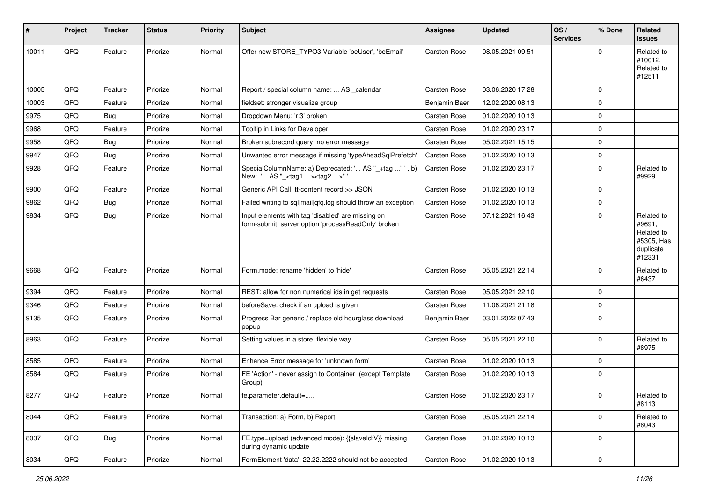| #     | Project | <b>Tracker</b> | <b>Status</b> | <b>Priority</b> | <b>Subject</b>                                                                                           | <b>Assignee</b> | <b>Updated</b>   | OS/<br><b>Services</b> | % Done      | Related<br><b>issues</b>                                                |
|-------|---------|----------------|---------------|-----------------|----------------------------------------------------------------------------------------------------------|-----------------|------------------|------------------------|-------------|-------------------------------------------------------------------------|
| 10011 | QFQ     | Feature        | Priorize      | Normal          | Offer new STORE TYPO3 Variable 'beUser', 'beEmail'                                                       | Carsten Rose    | 08.05.2021 09:51 |                        | $\Omega$    | Related to<br>#10012,<br>Related to<br>#12511                           |
| 10005 | QFQ     | Feature        | Priorize      | Normal          | Report / special column name:  AS calendar                                                               | Carsten Rose    | 03.06.2020 17:28 |                        | $\Omega$    |                                                                         |
| 10003 | QFQ     | Feature        | Priorize      | Normal          | fieldset: stronger visualize group                                                                       | Benjamin Baer   | 12.02.2020 08:13 |                        | $\mathbf 0$ |                                                                         |
| 9975  | QFQ     | <b>Bug</b>     | Priorize      | Normal          | Dropdown Menu: 'r:3' broken                                                                              | Carsten Rose    | 01.02.2020 10:13 |                        | 0           |                                                                         |
| 9968  | QFQ     | Feature        | Priorize      | Normal          | Tooltip in Links for Developer                                                                           | Carsten Rose    | 01.02.2020 23:17 |                        | $\mathbf 0$ |                                                                         |
| 9958  | QFQ     | Bug            | Priorize      | Normal          | Broken subrecord query: no error message                                                                 | Carsten Rose    | 05.02.2021 15:15 |                        | $\mathbf 0$ |                                                                         |
| 9947  | QFQ     | Bug            | Priorize      | Normal          | Unwanted error message if missing 'typeAheadSqlPrefetch'                                                 | Carsten Rose    | 01.02.2020 10:13 |                        | 0           |                                                                         |
| 9928  | QFQ     | Feature        | Priorize      | Normal          | SpecialColumnName: a) Deprecated: ' AS "_+tag " ', b)<br>New: ' AS "_ <tag1><tag2>" '</tag2></tag1>      | Carsten Rose    | 01.02.2020 23:17 |                        | $\mathbf 0$ | Related to<br>#9929                                                     |
| 9900  | QFQ     | Feature        | Priorize      | Normal          | Generic API Call: tt-content record >> JSON                                                              | Carsten Rose    | 01.02.2020 10:13 |                        | $\mathbf 0$ |                                                                         |
| 9862  | QFQ     | Bug            | Priorize      | Normal          | Failed writing to sql mail qfq.log should throw an exception                                             | Carsten Rose    | 01.02.2020 10:13 |                        | 0           |                                                                         |
| 9834  | QFQ     | Bug            | Priorize      | Normal          | Input elements with tag 'disabled' are missing on<br>form-submit: server option 'processReadOnly' broken | Carsten Rose    | 07.12.2021 16:43 |                        | $\mathbf 0$ | Related to<br>#9691,<br>Related to<br>#5305, Has<br>duplicate<br>#12331 |
| 9668  | QFQ     | Feature        | Priorize      | Normal          | Form.mode: rename 'hidden' to 'hide'                                                                     | Carsten Rose    | 05.05.2021 22:14 |                        | 0           | Related to<br>#6437                                                     |
| 9394  | QFQ     | Feature        | Priorize      | Normal          | REST: allow for non numerical ids in get requests                                                        | Carsten Rose    | 05.05.2021 22:10 |                        | $\mathbf 0$ |                                                                         |
| 9346  | QFQ     | Feature        | Priorize      | Normal          | beforeSave: check if an upload is given                                                                  | Carsten Rose    | 11.06.2021 21:18 |                        | $\Omega$    |                                                                         |
| 9135  | QFQ     | Feature        | Priorize      | Normal          | Progress Bar generic / replace old hourglass download<br>popup                                           | Benjamin Baer   | 03.01.2022 07:43 |                        | $\Omega$    |                                                                         |
| 8963  | QFQ     | Feature        | Priorize      | Normal          | Setting values in a store: flexible way                                                                  | Carsten Rose    | 05.05.2021 22:10 |                        | $\mathbf 0$ | Related to<br>#8975                                                     |
| 8585  | QFQ     | Feature        | Priorize      | Normal          | Enhance Error message for 'unknown form'                                                                 | Carsten Rose    | 01.02.2020 10:13 |                        | 0           |                                                                         |
| 8584  | QFQ     | Feature        | Priorize      | Normal          | FE 'Action' - never assign to Container (except Template)<br>Group)                                      | Carsten Rose    | 01.02.2020 10:13 |                        | $\mathbf 0$ |                                                                         |
| 8277  | QFQ     | Feature        | Priorize      | Normal          | fe.parameter.default=                                                                                    | Carsten Rose    | 01.02.2020 23:17 |                        | 0           | Related to<br>#8113                                                     |
| 8044  | QFG     | Feature        | Priorize      | Normal          | Transaction: a) Form, b) Report                                                                          | Carsten Rose    | 05.05.2021 22:14 |                        | $\mathbf 0$ | Related to<br>#8043                                                     |
| 8037  | QFQ     | Bug            | Priorize      | Normal          | FE.type=upload (advanced mode): {{slaveld:V}} missing<br>during dynamic update                           | Carsten Rose    | 01.02.2020 10:13 |                        | 0           |                                                                         |
| 8034  | QFG     | Feature        | Priorize      | Normal          | FormElement 'data': 22.22.2222 should not be accepted                                                    | Carsten Rose    | 01.02.2020 10:13 |                        | $\pmb{0}$   |                                                                         |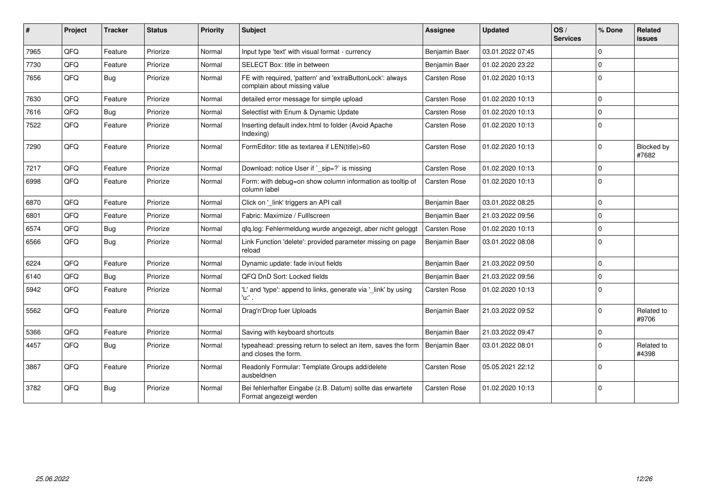| ∦    | Project | <b>Tracker</b> | <b>Status</b> | <b>Priority</b> | <b>Subject</b>                                                                            | Assignee      | <b>Updated</b>   | OS/<br><b>Services</b> | % Done      | Related<br>issues          |
|------|---------|----------------|---------------|-----------------|-------------------------------------------------------------------------------------------|---------------|------------------|------------------------|-------------|----------------------------|
| 7965 | QFQ     | Feature        | Priorize      | Normal          | Input type 'text' with visual format - currency                                           | Benjamin Baer | 03.01.2022 07:45 |                        | $\Omega$    |                            |
| 7730 | QFQ     | Feature        | Priorize      | Normal          | SELECT Box: title in between                                                              | Benjamin Baer | 01.02.2020 23:22 |                        | $\mathbf 0$ |                            |
| 7656 | QFQ     | Bug            | Priorize      | Normal          | FE with required, 'pattern' and 'extraButtonLock': always<br>complain about missing value | Carsten Rose  | 01.02.2020 10:13 |                        | $\Omega$    |                            |
| 7630 | QFQ     | Feature        | Priorize      | Normal          | detailed error message for simple upload                                                  | Carsten Rose  | 01.02.2020 10:13 |                        | $\Omega$    |                            |
| 7616 | QFQ     | Bug            | Priorize      | Normal          | Selectlist with Enum & Dynamic Update                                                     | Carsten Rose  | 01.02.2020 10:13 |                        | $\Omega$    |                            |
| 7522 | QFQ     | Feature        | Priorize      | Normal          | Inserting default index.html to folder (Avoid Apache<br>Indexing)                         | Carsten Rose  | 01.02.2020 10:13 |                        | $\Omega$    |                            |
| 7290 | QFQ     | Feature        | Priorize      | Normal          | FormEditor: title as textarea if LEN(title)>60                                            | Carsten Rose  | 01.02.2020 10:13 |                        | $\Omega$    | <b>Blocked by</b><br>#7682 |
| 7217 | QFQ     | Feature        | Priorize      | Normal          | Download: notice User if `_sip=?` is missing                                              | Carsten Rose  | 01.02.2020 10:13 |                        | $\mathbf 0$ |                            |
| 6998 | QFQ     | Feature        | Priorize      | Normal          | Form: with debug=on show column information as tooltip of<br>column label                 | Carsten Rose  | 01.02.2020 10:13 |                        | $\Omega$    |                            |
| 6870 | QFQ     | Feature        | Priorize      | Normal          | Click on '_link' triggers an API call                                                     | Benjamin Baer | 03.01.2022 08:25 |                        | $\Omega$    |                            |
| 6801 | QFQ     | Feature        | Priorize      | Normal          | Fabric: Maximize / Fulllscreen                                                            | Benjamin Baer | 21.03.2022 09:56 |                        | $\mathbf 0$ |                            |
| 6574 | QFQ     | Bug            | Priorize      | Normal          | qfq.log: Fehlermeldung wurde angezeigt, aber nicht geloggt                                | Carsten Rose  | 01.02.2020 10:13 |                        | $\Omega$    |                            |
| 6566 | QFQ     | Bug            | Priorize      | Normal          | Link Function 'delete': provided parameter missing on page<br>reload                      | Benjamin Baer | 03.01.2022 08:08 |                        | $\Omega$    |                            |
| 6224 | QFQ     | Feature        | Priorize      | Normal          | Dynamic update: fade in/out fields                                                        | Benjamin Baer | 21.03.2022 09:50 |                        | $\Omega$    |                            |
| 6140 | QFQ     | Bug            | Priorize      | Normal          | QFQ DnD Sort: Locked fields                                                               | Benjamin Baer | 21.03.2022 09:56 |                        | $\mathbf 0$ |                            |
| 5942 | QFQ     | Feature        | Priorize      | Normal          | 'L' and 'type': append to links, generate via '_link' by using<br>'u:' .                  | Carsten Rose  | 01.02.2020 10:13 |                        | $\Omega$    |                            |
| 5562 | QFQ     | Feature        | Priorize      | Normal          | Drag'n'Drop fuer Uploads                                                                  | Benjamin Baer | 21.03.2022 09:52 |                        | $\Omega$    | Related to<br>#9706        |
| 5366 | QFQ     | Feature        | Priorize      | Normal          | Saving with keyboard shortcuts                                                            | Benjamin Baer | 21.03.2022 09:47 |                        | $\Omega$    |                            |
| 4457 | QFQ     | Bug            | Priorize      | Normal          | typeahead: pressing return to select an item, saves the form<br>and closes the form.      | Benjamin Baer | 03.01.2022 08:01 |                        | $\Omega$    | Related to<br>#4398        |
| 3867 | QFQ     | Feature        | Priorize      | Normal          | Readonly Formular: Template Groups add/delete<br>ausbeldnen                               | Carsten Rose  | 05.05.2021 22:12 |                        | $\mathbf 0$ |                            |
| 3782 | QFQ     | Bug            | Priorize      | Normal          | Bei fehlerhafter Eingabe (z.B. Datum) sollte das erwartete<br>Format angezeigt werden     | Carsten Rose  | 01.02.2020 10:13 |                        | $\mathbf 0$ |                            |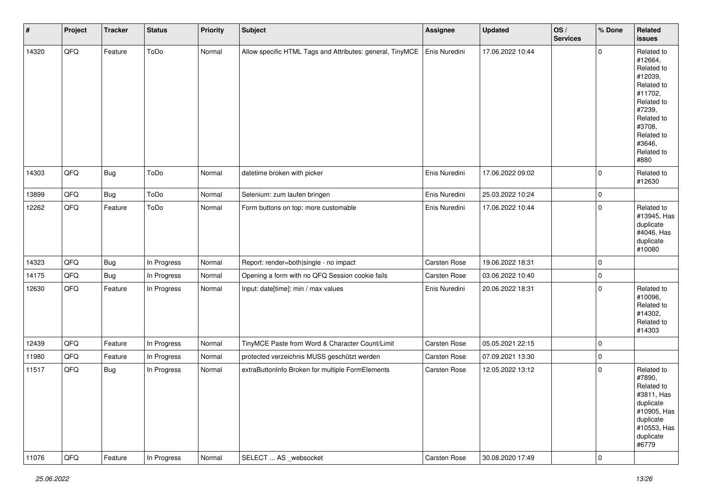| $\vert$ # | Project | <b>Tracker</b> | <b>Status</b> | <b>Priority</b> | <b>Subject</b>                                            | Assignee      | <b>Updated</b>   | OS/<br><b>Services</b> | % Done         | Related<br>issues                                                                                                                                                     |
|-----------|---------|----------------|---------------|-----------------|-----------------------------------------------------------|---------------|------------------|------------------------|----------------|-----------------------------------------------------------------------------------------------------------------------------------------------------------------------|
| 14320     | QFQ     | Feature        | ToDo          | Normal          | Allow specific HTML Tags and Attributes: general, TinyMCE | Enis Nuredini | 17.06.2022 10:44 |                        | $\Omega$       | Related to<br>#12664,<br>Related to<br>#12039,<br>Related to<br>#11702,<br>Related to<br>#7239,<br>Related to<br>#3708,<br>Related to<br>#3646,<br>Related to<br>#880 |
| 14303     | QFQ     | <b>Bug</b>     | ToDo          | Normal          | datetime broken with picker                               | Enis Nuredini | 17.06.2022 09:02 |                        | 0              | Related to<br>#12630                                                                                                                                                  |
| 13899     | QFQ     | <b>Bug</b>     | ToDo          | Normal          | Selenium: zum laufen bringen                              | Enis Nuredini | 25.03.2022 10:24 |                        | 0              |                                                                                                                                                                       |
| 12262     | QFQ     | Feature        | ToDo          | Normal          | Form buttons on top: more customable                      | Enis Nuredini | 17.06.2022 10:44 |                        | $\mathbf 0$    | Related to<br>#13945, Has<br>duplicate<br>#4046, Has<br>duplicate<br>#10080                                                                                           |
| 14323     | QFQ     | <b>Bug</b>     | In Progress   | Normal          | Report: render=both single - no impact                    | Carsten Rose  | 19.06.2022 18:31 |                        | $\mathbf 0$    |                                                                                                                                                                       |
| 14175     | QFQ     | Bug            | In Progress   | Normal          | Opening a form with no QFQ Session cookie fails           | Carsten Rose  | 03.06.2022 10:40 |                        | $\mathbf 0$    |                                                                                                                                                                       |
| 12630     | QFQ     | Feature        | In Progress   | Normal          | Input: date[time]: min / max values                       | Enis Nuredini | 20.06.2022 18:31 |                        | $\mathbf 0$    | Related to<br>#10096,<br>Related to<br>#14302,<br>Related to<br>#14303                                                                                                |
| 12439     | QFQ     | Feature        | In Progress   | Normal          | TinyMCE Paste from Word & Character Count/Limit           | Carsten Rose  | 05.05.2021 22:15 |                        | 0              |                                                                                                                                                                       |
| 11980     | QFQ     | Feature        | In Progress   | Normal          | protected verzeichnis MUSS geschützt werden               | Carsten Rose  | 07.09.2021 13:30 |                        | 0              |                                                                                                                                                                       |
| 11517     | QFQ     | <b>Bug</b>     | In Progress   | Normal          | extraButtonInfo Broken for multiple FormElements          | Carsten Rose  | 12.05.2022 13:12 |                        | $\mathbf 0$    | Related to<br>#7890,<br>Related to<br>#3811, Has<br>duplicate<br>#10905, Has<br>duplicate<br>#10553, Has<br>duplicate<br>#6779                                        |
| 11076     | QFQ     | Feature        | In Progress   | Normal          | SELECT  AS _websocket                                     | Carsten Rose  | 30.08.2020 17:49 |                        | $\overline{0}$ |                                                                                                                                                                       |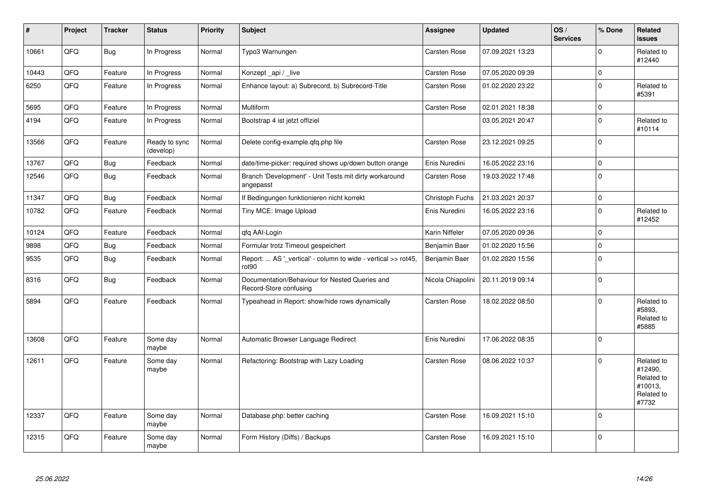| $\pmb{\sharp}$ | Project | <b>Tracker</b> | <b>Status</b>              | <b>Priority</b> | Subject                                                                            | Assignee            | <b>Updated</b>   | OS/<br><b>Services</b> | % Done       | Related<br><b>issues</b>                                              |
|----------------|---------|----------------|----------------------------|-----------------|------------------------------------------------------------------------------------|---------------------|------------------|------------------------|--------------|-----------------------------------------------------------------------|
| 10661          | QFQ     | <b>Bug</b>     | In Progress                | Normal          | Typo3 Warnungen                                                                    | Carsten Rose        | 07.09.2021 13:23 |                        | $\Omega$     | Related to<br>#12440                                                  |
| 10443          | QFQ     | Feature        | In Progress                | Normal          | Konzept_api / _live                                                                | <b>Carsten Rose</b> | 07.05.2020 09:39 |                        | $\pmb{0}$    |                                                                       |
| 6250           | QFQ     | Feature        | In Progress                | Normal          | Enhance layout: a) Subrecord, b) Subrecord-Title                                   | Carsten Rose        | 01.02.2020 23:22 |                        | $\mathbf 0$  | Related to<br>#5391                                                   |
| 5695           | QFQ     | Feature        | In Progress                | Normal          | Multiform                                                                          | <b>Carsten Rose</b> | 02.01.2021 18:38 |                        | $\pmb{0}$    |                                                                       |
| 4194           | QFQ     | Feature        | In Progress                | Normal          | Bootstrap 4 ist jetzt offiziel                                                     |                     | 03.05.2021 20:47 |                        | $\mathbf 0$  | Related to<br>#10114                                                  |
| 13566          | QFQ     | Feature        | Ready to sync<br>(develop) | Normal          | Delete config-example.gfg.php file                                                 | Carsten Rose        | 23.12.2021 09:25 |                        | $\mathbf 0$  |                                                                       |
| 13767          | QFQ     | <b>Bug</b>     | Feedback                   | Normal          | date/time-picker: required shows up/down button orange                             | Enis Nuredini       | 16.05.2022 23:16 |                        | $\mathbf 0$  |                                                                       |
| 12546          | QFQ     | <b>Bug</b>     | Feedback                   | Normal          | Branch 'Development' - Unit Tests mit dirty workaround<br>angepasst                | Carsten Rose        | 19.03.2022 17:48 |                        | $\mathbf 0$  |                                                                       |
| 11347          | QFQ     | <b>Bug</b>     | Feedback                   | Normal          | If Bedingungen funktionieren nicht korrekt                                         | Christoph Fuchs     | 21.03.2021 20:37 |                        | $\mathbf{0}$ |                                                                       |
| 10782          | QFQ     | Feature        | Feedback                   | Normal          | Tiny MCE: Image Upload                                                             | Enis Nuredini       | 16.05.2022 23:16 |                        | $\mathbf 0$  | Related to<br>#12452                                                  |
| 10124          | QFQ     | Feature        | Feedback                   | Normal          | qfq AAI-Login                                                                      | Karin Niffeler      | 07.05.2020 09:36 |                        | $\mathbf 0$  |                                                                       |
| 9898           | QFQ     | <b>Bug</b>     | Feedback                   | Normal          | Formular trotz Timeout gespeichert                                                 | Benjamin Baer       | 01.02.2020 15:56 |                        | $\mathbf 0$  |                                                                       |
| 9535           | QFQ     | <b>Bug</b>     | Feedback                   | Normal          | Report:  AS '_vertical' - column to wide - vertical >> rot45,<br>rot <sub>90</sub> | Benjamin Baer       | 01.02.2020 15:56 |                        | $\mathbf 0$  |                                                                       |
| 8316           | QFQ     | <b>Bug</b>     | Feedback                   | Normal          | Documentation/Behaviour for Nested Queries and<br>Record-Store confusing           | Nicola Chiapolini   | 20.11.2019 09:14 |                        | $\mathbf 0$  |                                                                       |
| 5894           | QFQ     | Feature        | Feedback                   | Normal          | Typeahead in Report: show/hide rows dynamically                                    | <b>Carsten Rose</b> | 18.02.2022 08:50 |                        | $\mathbf 0$  | Related to<br>#5893,<br>Related to<br>#5885                           |
| 13608          | QFQ     | Feature        | Some day<br>maybe          | Normal          | Automatic Browser Language Redirect                                                | Enis Nuredini       | 17.06.2022 08:35 |                        | $\mathbf 0$  |                                                                       |
| 12611          | QFQ     | Feature        | Some day<br>maybe          | Normal          | Refactoring: Bootstrap with Lazy Loading                                           | <b>Carsten Rose</b> | 08.06.2022 10:37 |                        | $\mathbf 0$  | Related to<br>#12490,<br>Related to<br>#10013,<br>Related to<br>#7732 |
| 12337          | QFQ     | Feature        | Some day<br>maybe          | Normal          | Database.php: better caching                                                       | <b>Carsten Rose</b> | 16.09.2021 15:10 |                        | $\mathbf 0$  |                                                                       |
| 12315          | QFQ     | Feature        | Some day<br>maybe          | Normal          | Form History (Diffs) / Backups                                                     | Carsten Rose        | 16.09.2021 15:10 |                        | $\pmb{0}$    |                                                                       |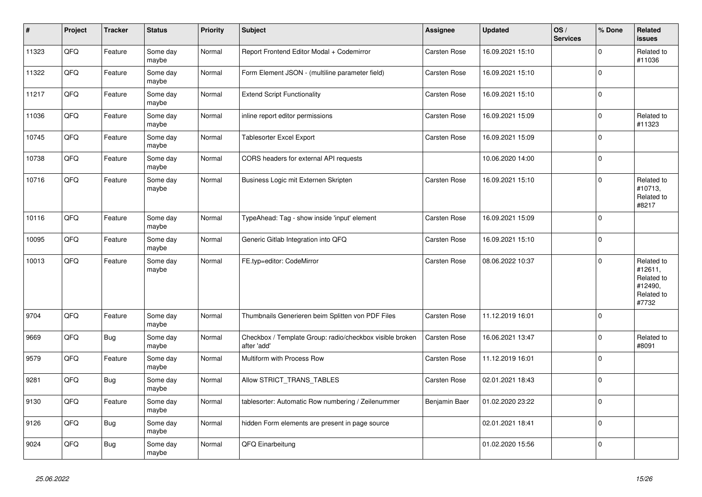| $\vert$ # | Project | <b>Tracker</b> | <b>Status</b>     | <b>Priority</b> | <b>Subject</b>                                                          | Assignee      | <b>Updated</b>   | OS/<br><b>Services</b> | % Done      | Related<br>issues                                                     |
|-----------|---------|----------------|-------------------|-----------------|-------------------------------------------------------------------------|---------------|------------------|------------------------|-------------|-----------------------------------------------------------------------|
| 11323     | QFQ     | Feature        | Some day<br>maybe | Normal          | Report Frontend Editor Modal + Codemirror                               | Carsten Rose  | 16.09.2021 15:10 |                        | $\Omega$    | Related to<br>#11036                                                  |
| 11322     | QFQ     | Feature        | Some day<br>maybe | Normal          | Form Element JSON - (multiline parameter field)                         | Carsten Rose  | 16.09.2021 15:10 |                        | $\mathbf 0$ |                                                                       |
| 11217     | QFQ     | Feature        | Some day<br>maybe | Normal          | <b>Extend Script Functionality</b>                                      | Carsten Rose  | 16.09.2021 15:10 |                        | $\mathbf 0$ |                                                                       |
| 11036     | QFQ     | Feature        | Some day<br>maybe | Normal          | inline report editor permissions                                        | Carsten Rose  | 16.09.2021 15:09 |                        | $\mathbf 0$ | Related to<br>#11323                                                  |
| 10745     | QFQ     | Feature        | Some day<br>maybe | Normal          | <b>Tablesorter Excel Export</b>                                         | Carsten Rose  | 16.09.2021 15:09 |                        | $\mathbf 0$ |                                                                       |
| 10738     | QFQ     | Feature        | Some day<br>maybe | Normal          | CORS headers for external API requests                                  |               | 10.06.2020 14:00 |                        | $\mathbf 0$ |                                                                       |
| 10716     | QFQ     | Feature        | Some day<br>maybe | Normal          | Business Logic mit Externen Skripten                                    | Carsten Rose  | 16.09.2021 15:10 |                        | $\Omega$    | Related to<br>#10713,<br>Related to<br>#8217                          |
| 10116     | QFQ     | Feature        | Some day<br>maybe | Normal          | TypeAhead: Tag - show inside 'input' element                            | Carsten Rose  | 16.09.2021 15:09 |                        | 0           |                                                                       |
| 10095     | QFQ     | Feature        | Some day<br>maybe | Normal          | Generic Gitlab Integration into QFQ                                     | Carsten Rose  | 16.09.2021 15:10 |                        | $\Omega$    |                                                                       |
| 10013     | QFQ     | Feature        | Some day<br>maybe | Normal          | FE.typ=editor: CodeMirror                                               | Carsten Rose  | 08.06.2022 10:37 |                        | $\Omega$    | Related to<br>#12611,<br>Related to<br>#12490,<br>Related to<br>#7732 |
| 9704      | QFQ     | Feature        | Some day<br>maybe | Normal          | Thumbnails Generieren beim Splitten von PDF Files                       | Carsten Rose  | 11.12.2019 16:01 |                        | 0 l         |                                                                       |
| 9669      | QFQ     | <b>Bug</b>     | Some day<br>maybe | Normal          | Checkbox / Template Group: radio/checkbox visible broken<br>after 'add' | Carsten Rose  | 16.06.2021 13:47 |                        | $\Omega$    | Related to<br>#8091                                                   |
| 9579      | QFQ     | Feature        | Some day<br>maybe | Normal          | Multiform with Process Row                                              | Carsten Rose  | 11.12.2019 16:01 |                        | $\mathbf 0$ |                                                                       |
| 9281      | QFQ     | <b>Bug</b>     | Some day<br>maybe | Normal          | Allow STRICT_TRANS_TABLES                                               | Carsten Rose  | 02.01.2021 18:43 |                        | $\mathbf 0$ |                                                                       |
| 9130      | QFQ     | Feature        | Some day<br>maybe | Normal          | tablesorter: Automatic Row numbering / Zeilenummer                      | Benjamin Baer | 01.02.2020 23:22 |                        | $\mathbf 0$ |                                                                       |
| 9126      | QFQ     | <b>Bug</b>     | Some day<br>maybe | Normal          | hidden Form elements are present in page source                         |               | 02.01.2021 18:41 |                        | $\mathbf 0$ |                                                                       |
| 9024      | QFQ     | Bug            | Some day<br>maybe | Normal          | QFQ Einarbeitung                                                        |               | 01.02.2020 15:56 |                        | $\mathbf 0$ |                                                                       |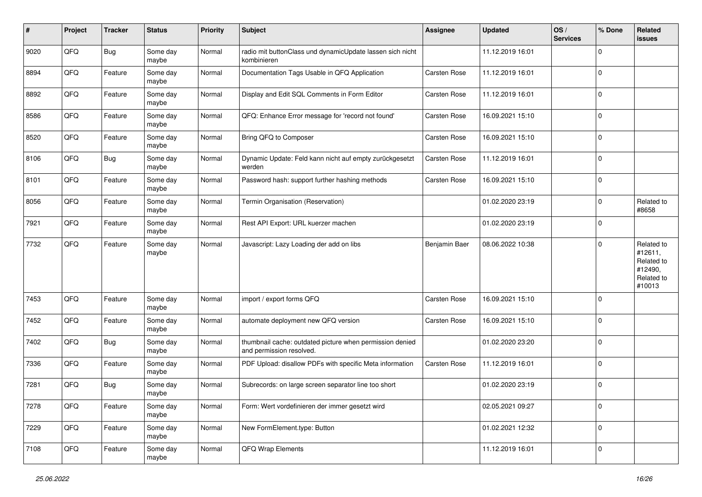| #    | Project | <b>Tracker</b> | <b>Status</b>     | <b>Priority</b> | <b>Subject</b>                                                                       | Assignee      | <b>Updated</b>   | OS/<br><b>Services</b> | % Done      | Related<br>issues                                                      |
|------|---------|----------------|-------------------|-----------------|--------------------------------------------------------------------------------------|---------------|------------------|------------------------|-------------|------------------------------------------------------------------------|
| 9020 | QFQ     | Bug            | Some day<br>maybe | Normal          | radio mit buttonClass und dynamicUpdate lassen sich nicht<br>kombinieren             |               | 11.12.2019 16:01 |                        | $\Omega$    |                                                                        |
| 8894 | QFQ     | Feature        | Some day<br>maybe | Normal          | Documentation Tags Usable in QFQ Application                                         | Carsten Rose  | 11.12.2019 16:01 |                        | $\mathbf 0$ |                                                                        |
| 8892 | QFQ     | Feature        | Some day<br>maybe | Normal          | Display and Edit SQL Comments in Form Editor                                         | Carsten Rose  | 11.12.2019 16:01 |                        | 0           |                                                                        |
| 8586 | QFQ     | Feature        | Some day<br>maybe | Normal          | QFQ: Enhance Error message for 'record not found'                                    | Carsten Rose  | 16.09.2021 15:10 |                        | $\mathbf 0$ |                                                                        |
| 8520 | QFQ     | Feature        | Some day<br>maybe | Normal          | Bring QFQ to Composer                                                                | Carsten Rose  | 16.09.2021 15:10 |                        | $\Omega$    |                                                                        |
| 8106 | QFQ     | <b>Bug</b>     | Some day<br>maybe | Normal          | Dynamic Update: Feld kann nicht auf empty zurückgesetzt<br>werden                    | Carsten Rose  | 11.12.2019 16:01 |                        | $\Omega$    |                                                                        |
| 8101 | QFQ     | Feature        | Some day<br>maybe | Normal          | Password hash: support further hashing methods                                       | Carsten Rose  | 16.09.2021 15:10 |                        | $\mathbf 0$ |                                                                        |
| 8056 | QFQ     | Feature        | Some day<br>maybe | Normal          | Termin Organisation (Reservation)                                                    |               | 01.02.2020 23:19 |                        | 0           | Related to<br>#8658                                                    |
| 7921 | QFG     | Feature        | Some day<br>maybe | Normal          | Rest API Export: URL kuerzer machen                                                  |               | 01.02.2020 23:19 |                        | $\mathbf 0$ |                                                                        |
| 7732 | QFQ     | Feature        | Some day<br>maybe | Normal          | Javascript: Lazy Loading der add on libs                                             | Benjamin Baer | 08.06.2022 10:38 |                        | $\Omega$    | Related to<br>#12611,<br>Related to<br>#12490,<br>Related to<br>#10013 |
| 7453 | QFQ     | Feature        | Some day<br>maybe | Normal          | import / export forms QFQ                                                            | Carsten Rose  | 16.09.2021 15:10 |                        | $\Omega$    |                                                                        |
| 7452 | QFQ     | Feature        | Some day<br>maybe | Normal          | automate deployment new QFQ version                                                  | Carsten Rose  | 16.09.2021 15:10 |                        | $\mathbf 0$ |                                                                        |
| 7402 | QFQ     | <b>Bug</b>     | Some day<br>maybe | Normal          | thumbnail cache: outdated picture when permission denied<br>and permission resolved. |               | 01.02.2020 23:20 |                        | 0           |                                                                        |
| 7336 | QFQ     | Feature        | Some day<br>maybe | Normal          | PDF Upload: disallow PDFs with specific Meta information                             | Carsten Rose  | 11.12.2019 16:01 |                        | $\mathbf 0$ |                                                                        |
| 7281 | QFQ     | Bug            | Some day<br>maybe | Normal          | Subrecords: on large screen separator line too short                                 |               | 01.02.2020 23:19 |                        | $\mathbf 0$ |                                                                        |
| 7278 | QFG     | Feature        | Some day<br>maybe | Normal          | Form: Wert vordefinieren der immer gesetzt wird                                      |               | 02.05.2021 09:27 |                        | 0           |                                                                        |
| 7229 | QFG     | Feature        | Some day<br>maybe | Normal          | New FormElement.type: Button                                                         |               | 01.02.2021 12:32 |                        | 0           |                                                                        |
| 7108 | QFG     | Feature        | Some day<br>maybe | Normal          | QFQ Wrap Elements                                                                    |               | 11.12.2019 16:01 |                        | $\mathbf 0$ |                                                                        |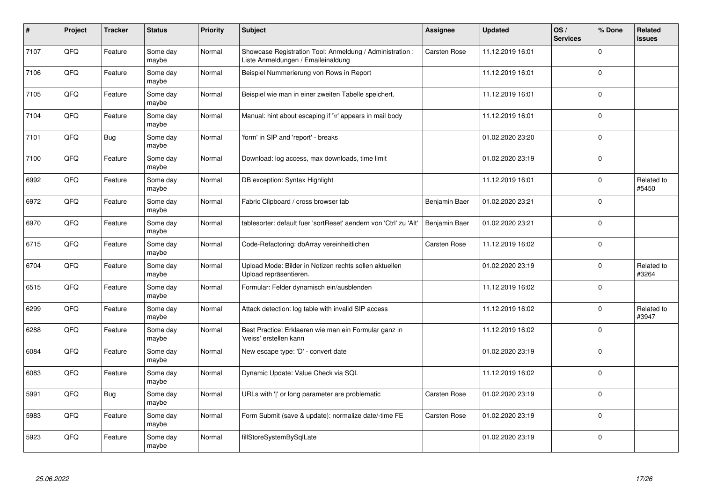| #    | Project | <b>Tracker</b> | <b>Status</b>     | <b>Priority</b> | <b>Subject</b>                                                                                 | Assignee            | <b>Updated</b>   | OS/<br><b>Services</b> | % Done      | Related<br><b>issues</b> |
|------|---------|----------------|-------------------|-----------------|------------------------------------------------------------------------------------------------|---------------------|------------------|------------------------|-------------|--------------------------|
| 7107 | QFQ     | Feature        | Some day<br>maybe | Normal          | Showcase Registration Tool: Anmeldung / Administration :<br>Liste Anmeldungen / Emaileinaldung | <b>Carsten Rose</b> | 11.12.2019 16:01 |                        | $\Omega$    |                          |
| 7106 | QFQ     | Feature        | Some day<br>maybe | Normal          | Beispiel Nummerierung von Rows in Report                                                       |                     | 11.12.2019 16:01 |                        | $\Omega$    |                          |
| 7105 | QFQ     | Feature        | Some day<br>maybe | Normal          | Beispiel wie man in einer zweiten Tabelle speichert.                                           |                     | 11.12.2019 16:01 |                        | $\Omega$    |                          |
| 7104 | QFQ     | Feature        | Some day<br>maybe | Normal          | Manual: hint about escaping if '\r' appears in mail body                                       |                     | 11.12.2019 16:01 |                        | $\Omega$    |                          |
| 7101 | QFQ     | <b>Bug</b>     | Some day<br>maybe | Normal          | 'form' in SIP and 'report' - breaks                                                            |                     | 01.02.2020 23:20 |                        | $\mathbf 0$ |                          |
| 7100 | QFQ     | Feature        | Some day<br>maybe | Normal          | Download: log access, max downloads, time limit                                                |                     | 01.02.2020 23:19 |                        | $\Omega$    |                          |
| 6992 | QFQ     | Feature        | Some day<br>maybe | Normal          | DB exception: Syntax Highlight                                                                 |                     | 11.12.2019 16:01 |                        | $\Omega$    | Related to<br>#5450      |
| 6972 | QFQ     | Feature        | Some day<br>maybe | Normal          | Fabric Clipboard / cross browser tab                                                           | Benjamin Baer       | 01.02.2020 23:21 |                        | $\Omega$    |                          |
| 6970 | QFQ     | Feature        | Some day<br>maybe | Normal          | tablesorter: default fuer 'sortReset' aendern von 'Ctrl' zu 'Alt'                              | Benjamin Baer       | 01.02.2020 23:21 |                        | $\Omega$    |                          |
| 6715 | QFQ     | Feature        | Some day<br>maybe | Normal          | Code-Refactoring: dbArray vereinheitlichen                                                     | Carsten Rose        | 11.12.2019 16:02 |                        | $\Omega$    |                          |
| 6704 | QFQ     | Feature        | Some day<br>maybe | Normal          | Upload Mode: Bilder in Notizen rechts sollen aktuellen<br>Upload repräsentieren.               |                     | 01.02.2020 23:19 |                        | 0           | Related to<br>#3264      |
| 6515 | QFQ     | Feature        | Some day<br>maybe | Normal          | Formular: Felder dynamisch ein/ausblenden                                                      |                     | 11.12.2019 16:02 |                        | $\mathbf 0$ |                          |
| 6299 | QFQ     | Feature        | Some day<br>maybe | Normal          | Attack detection: log table with invalid SIP access                                            |                     | 11.12.2019 16:02 |                        | $\Omega$    | Related to<br>#3947      |
| 6288 | QFQ     | Feature        | Some day<br>maybe | Normal          | Best Practice: Erklaeren wie man ein Formular ganz in<br>'weiss' erstellen kann                |                     | 11.12.2019 16:02 |                        | $\mathbf 0$ |                          |
| 6084 | QFQ     | Feature        | Some day<br>maybe | Normal          | New escape type: 'D' - convert date                                                            |                     | 01.02.2020 23:19 |                        | $\Omega$    |                          |
| 6083 | QFQ     | Feature        | Some day<br>maybe | Normal          | Dynamic Update: Value Check via SQL                                                            |                     | 11.12.2019 16:02 |                        | $\Omega$    |                          |
| 5991 | QFQ     | Bug            | Some day<br>maybe | Normal          | URLs with 'I' or long parameter are problematic                                                | <b>Carsten Rose</b> | 01.02.2020 23:19 |                        | $\Omega$    |                          |
| 5983 | QFQ     | Feature        | Some day<br>maybe | Normal          | Form Submit (save & update): normalize date/-time FE                                           | Carsten Rose        | 01.02.2020 23:19 |                        | $\Omega$    |                          |
| 5923 | QFQ     | Feature        | Some day<br>maybe | Normal          | fillStoreSystemBySqlLate                                                                       |                     | 01.02.2020 23:19 |                        | $\Omega$    |                          |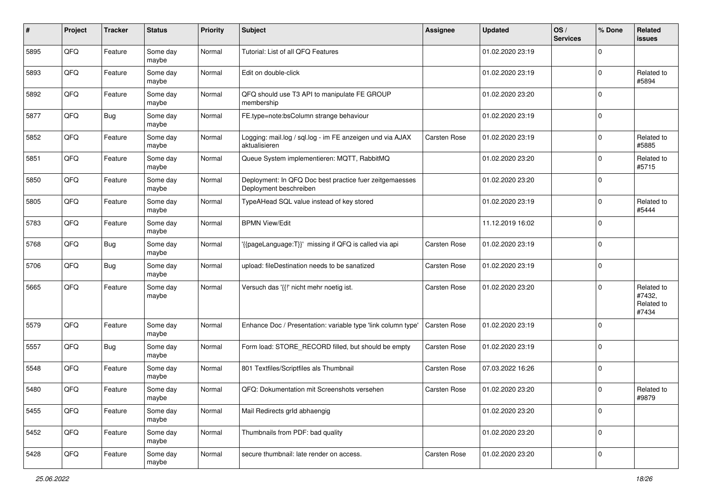| #    | Project | <b>Tracker</b> | <b>Status</b>     | <b>Priority</b> | Subject                                                                           | Assignee     | <b>Updated</b>   | OS/<br><b>Services</b> | % Done      | Related<br>issues                           |
|------|---------|----------------|-------------------|-----------------|-----------------------------------------------------------------------------------|--------------|------------------|------------------------|-------------|---------------------------------------------|
| 5895 | QFQ     | Feature        | Some day<br>maybe | Normal          | Tutorial: List of all QFQ Features                                                |              | 01.02.2020 23:19 |                        | $\Omega$    |                                             |
| 5893 | QFQ     | Feature        | Some day<br>maybe | Normal          | Edit on double-click                                                              |              | 01.02.2020 23:19 |                        | $\Omega$    | Related to<br>#5894                         |
| 5892 | QFQ     | Feature        | Some day<br>maybe | Normal          | QFQ should use T3 API to manipulate FE GROUP<br>membership                        |              | 01.02.2020 23:20 |                        | $\Omega$    |                                             |
| 5877 | QFQ     | <b>Bug</b>     | Some day<br>maybe | Normal          | FE.type=note:bsColumn strange behaviour                                           |              | 01.02.2020 23:19 |                        | $\mathbf 0$ |                                             |
| 5852 | QFQ     | Feature        | Some day<br>maybe | Normal          | Logging: mail.log / sql.log - im FE anzeigen und via AJAX<br>aktualisieren        | Carsten Rose | 01.02.2020 23:19 |                        | $\Omega$    | Related to<br>#5885                         |
| 5851 | QFQ     | Feature        | Some day<br>maybe | Normal          | Queue System implementieren: MQTT, RabbitMQ                                       |              | 01.02.2020 23:20 |                        | $\Omega$    | Related to<br>#5715                         |
| 5850 | QFQ     | Feature        | Some day<br>maybe | Normal          | Deployment: In QFQ Doc best practice fuer zeitgemaesses<br>Deployment beschreiben |              | 01.02.2020 23:20 |                        | $\mathbf 0$ |                                             |
| 5805 | QFQ     | Feature        | Some day<br>maybe | Normal          | TypeAHead SQL value instead of key stored                                         |              | 01.02.2020 23:19 |                        | $\mathbf 0$ | Related to<br>#5444                         |
| 5783 | QFQ     | Feature        | Some day<br>maybe | Normal          | <b>BPMN View/Edit</b>                                                             |              | 11.12.2019 16:02 |                        | $\mathbf 0$ |                                             |
| 5768 | QFQ     | <b>Bug</b>     | Some day<br>maybe | Normal          | {{pageLanguage:T}}' missing if QFQ is called via api                              | Carsten Rose | 01.02.2020 23:19 |                        | $\Omega$    |                                             |
| 5706 | QFQ     | <b>Bug</b>     | Some day<br>maybe | Normal          | upload: fileDestination needs to be sanatized                                     | Carsten Rose | 01.02.2020 23:19 |                        | $\mathbf 0$ |                                             |
| 5665 | QFQ     | Feature        | Some day<br>maybe | Normal          | Versuch das '{{!' nicht mehr noetig ist.                                          | Carsten Rose | 01.02.2020 23:20 |                        | $\Omega$    | Related to<br>#7432,<br>Related to<br>#7434 |
| 5579 | QFQ     | Feature        | Some day<br>maybe | Normal          | Enhance Doc / Presentation: variable type 'link column type'                      | Carsten Rose | 01.02.2020 23:19 |                        | $\mathbf 0$ |                                             |
| 5557 | QFQ     | <b>Bug</b>     | Some day<br>maybe | Normal          | Form load: STORE RECORD filled, but should be empty                               | Carsten Rose | 01.02.2020 23:19 |                        | $\Omega$    |                                             |
| 5548 | QFQ     | Feature        | Some day<br>maybe | Normal          | 801 Textfiles/Scriptfiles als Thumbnail                                           | Carsten Rose | 07.03.2022 16:26 |                        | $\Omega$    |                                             |
| 5480 | QFQ     | Feature        | Some day<br>maybe | Normal          | QFQ: Dokumentation mit Screenshots versehen                                       | Carsten Rose | 01.02.2020 23:20 |                        | $\Omega$    | Related to<br>#9879                         |
| 5455 | QFQ     | Feature        | Some day<br>maybe | Normal          | Mail Redirects grld abhaengig                                                     |              | 01.02.2020 23:20 |                        | l 0         |                                             |
| 5452 | QFQ     | Feature        | Some day<br>maybe | Normal          | Thumbnails from PDF: bad quality                                                  |              | 01.02.2020 23:20 |                        | l 0         |                                             |
| 5428 | QFQ     | Feature        | Some day<br>maybe | Normal          | secure thumbnail: late render on access.                                          | Carsten Rose | 01.02.2020 23:20 |                        | l 0         |                                             |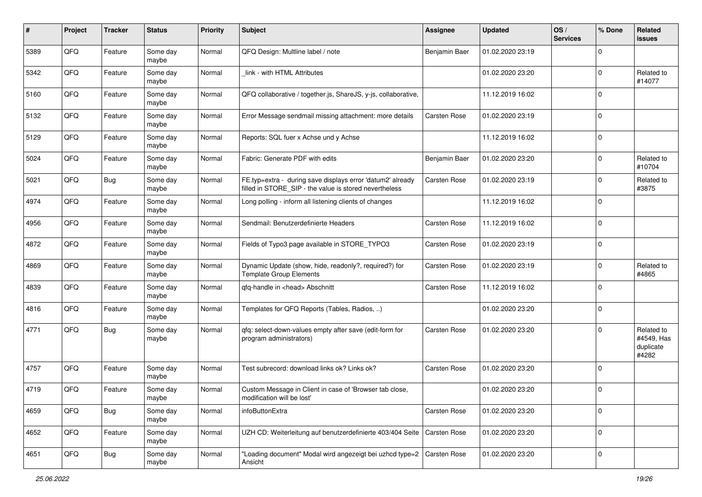| #    | Project | <b>Tracker</b> | <b>Status</b>     | <b>Priority</b> | Subject                                                                                                              | <b>Assignee</b>     | <b>Updated</b>   | OS/<br><b>Services</b> | % Done      | Related<br>issues                              |
|------|---------|----------------|-------------------|-----------------|----------------------------------------------------------------------------------------------------------------------|---------------------|------------------|------------------------|-------------|------------------------------------------------|
| 5389 | QFQ     | Feature        | Some day<br>maybe | Normal          | QFQ Design: Multline label / note                                                                                    | Benjamin Baer       | 01.02.2020 23:19 |                        | $\Omega$    |                                                |
| 5342 | QFQ     | Feature        | Some day<br>maybe | Normal          | link - with HTML Attributes                                                                                          |                     | 01.02.2020 23:20 |                        | $\mathbf 0$ | Related to<br>#14077                           |
| 5160 | QFQ     | Feature        | Some day<br>maybe | Normal          | QFQ collaborative / together.js, ShareJS, y-js, collaborative,                                                       |                     | 11.12.2019 16:02 |                        | $\Omega$    |                                                |
| 5132 | QFQ     | Feature        | Some day<br>maybe | Normal          | Error Message sendmail missing attachment: more details                                                              | Carsten Rose        | 01.02.2020 23:19 |                        | $\mathbf 0$ |                                                |
| 5129 | QFQ     | Feature        | Some day<br>maybe | Normal          | Reports: SQL fuer x Achse und y Achse                                                                                |                     | 11.12.2019 16:02 |                        | $\mathbf 0$ |                                                |
| 5024 | QFQ     | Feature        | Some day<br>maybe | Normal          | Fabric: Generate PDF with edits                                                                                      | Benjamin Baer       | 01.02.2020 23:20 |                        | $\Omega$    | Related to<br>#10704                           |
| 5021 | QFQ     | <b>Bug</b>     | Some day<br>maybe | Normal          | FE.typ=extra - during save displays error 'datum2' already<br>filled in STORE_SIP - the value is stored nevertheless | Carsten Rose        | 01.02.2020 23:19 |                        | $\Omega$    | Related to<br>#3875                            |
| 4974 | QFQ     | Feature        | Some day<br>maybe | Normal          | Long polling - inform all listening clients of changes                                                               |                     | 11.12.2019 16:02 |                        | $\Omega$    |                                                |
| 4956 | QFQ     | Feature        | Some day<br>maybe | Normal          | Sendmail: Benutzerdefinierte Headers                                                                                 | <b>Carsten Rose</b> | 11.12.2019 16:02 |                        | $\mathbf 0$ |                                                |
| 4872 | QFQ     | Feature        | Some day<br>maybe | Normal          | Fields of Typo3 page available in STORE_TYPO3                                                                        | Carsten Rose        | 01.02.2020 23:19 |                        | $\Omega$    |                                                |
| 4869 | QFQ     | Feature        | Some day<br>maybe | Normal          | Dynamic Update (show, hide, readonly?, required?) for<br><b>Template Group Elements</b>                              | Carsten Rose        | 01.02.2020 23:19 |                        | $\mathbf 0$ | Related to<br>#4865                            |
| 4839 | QFQ     | Feature        | Some day<br>maybe | Normal          | qfq-handle in <head> Abschnitt</head>                                                                                | Carsten Rose        | 11.12.2019 16:02 |                        | $\Omega$    |                                                |
| 4816 | QFQ     | Feature        | Some day<br>maybe | Normal          | Templates for QFQ Reports (Tables, Radios, )                                                                         |                     | 01.02.2020 23:20 |                        | $\Omega$    |                                                |
| 4771 | QFQ     | <b>Bug</b>     | Some day<br>maybe | Normal          | qfq: select-down-values empty after save (edit-form for<br>program administrators)                                   | Carsten Rose        | 01.02.2020 23:20 |                        | $\Omega$    | Related to<br>#4549, Has<br>duplicate<br>#4282 |
| 4757 | QFQ     | Feature        | Some day<br>maybe | Normal          | Test subrecord: download links ok? Links ok?                                                                         | Carsten Rose        | 01.02.2020 23:20 |                        | $\Omega$    |                                                |
| 4719 | QFQ     | Feature        | Some day<br>maybe | Normal          | Custom Message in Client in case of 'Browser tab close,<br>modification will be lost'                                |                     | 01.02.2020 23:20 |                        | $\Omega$    |                                                |
| 4659 | QFQ     | <b>Bug</b>     | Some day<br>maybe | Normal          | infoButtonExtra                                                                                                      | Carsten Rose        | 01.02.2020 23:20 |                        | $\mathbf 0$ |                                                |
| 4652 | QFQ     | Feature        | Some day<br>maybe | Normal          | UZH CD: Weiterleitung auf benutzerdefinierte 403/404 Seite                                                           | Carsten Rose        | 01.02.2020 23:20 |                        | $\mathbf 0$ |                                                |
| 4651 | QFQ     | <b>Bug</b>     | Some day<br>maybe | Normal          | "Loading document" Modal wird angezeigt bei uzhcd type=2<br>Ansicht                                                  | Carsten Rose        | 01.02.2020 23:20 |                        | 0           |                                                |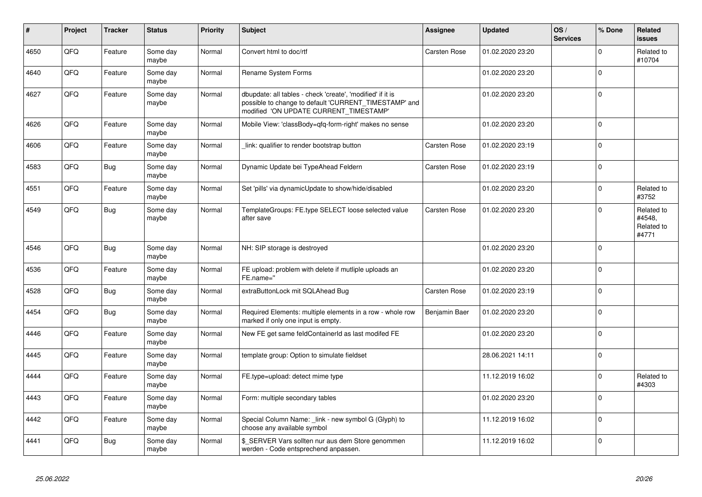| #    | Project | <b>Tracker</b> | <b>Status</b>     | <b>Priority</b> | <b>Subject</b>                                                                                                                                                | Assignee            | <b>Updated</b>   | OS/<br><b>Services</b> | % Done      | Related<br><b>issues</b>                    |
|------|---------|----------------|-------------------|-----------------|---------------------------------------------------------------------------------------------------------------------------------------------------------------|---------------------|------------------|------------------------|-------------|---------------------------------------------|
| 4650 | QFQ     | Feature        | Some day<br>maybe | Normal          | Convert html to doc/rtf                                                                                                                                       | <b>Carsten Rose</b> | 01.02.2020 23:20 |                        | $\Omega$    | Related to<br>#10704                        |
| 4640 | QFQ     | Feature        | Some day<br>maybe | Normal          | <b>Rename System Forms</b>                                                                                                                                    |                     | 01.02.2020 23:20 |                        | $\Omega$    |                                             |
| 4627 | QFQ     | Feature        | Some day<br>maybe | Normal          | dbupdate: all tables - check 'create', 'modified' if it is<br>possible to change to default 'CURRENT TIMESTAMP' and<br>modified 'ON UPDATE CURRENT_TIMESTAMP' |                     | 01.02.2020 23:20 |                        | $\Omega$    |                                             |
| 4626 | QFQ     | Feature        | Some day<br>maybe | Normal          | Mobile View: 'classBody=qfq-form-right' makes no sense                                                                                                        |                     | 01.02.2020 23:20 |                        | $\Omega$    |                                             |
| 4606 | QFQ     | Feature        | Some day<br>maybe | Normal          | link: qualifier to render bootstrap button                                                                                                                    | <b>Carsten Rose</b> | 01.02.2020 23:19 |                        | $\Omega$    |                                             |
| 4583 | QFQ     | Bug            | Some day<br>maybe | Normal          | Dynamic Update bei TypeAhead Feldern                                                                                                                          | Carsten Rose        | 01.02.2020 23:19 |                        | $\Omega$    |                                             |
| 4551 | QFQ     | Feature        | Some day<br>maybe | Normal          | Set 'pills' via dynamicUpdate to show/hide/disabled                                                                                                           |                     | 01.02.2020 23:20 |                        | $\mathbf 0$ | Related to<br>#3752                         |
| 4549 | QFQ     | <b>Bug</b>     | Some day<br>maybe | Normal          | TemplateGroups: FE.type SELECT loose selected value<br>after save                                                                                             | Carsten Rose        | 01.02.2020 23:20 |                        | $\Omega$    | Related to<br>#4548.<br>Related to<br>#4771 |
| 4546 | QFQ     | Bug            | Some day<br>maybe | Normal          | NH: SIP storage is destroyed                                                                                                                                  |                     | 01.02.2020 23:20 |                        | $\Omega$    |                                             |
| 4536 | QFQ     | Feature        | Some day<br>maybe | Normal          | FE upload: problem with delete if mutliple uploads an<br>FE.name="                                                                                            |                     | 01.02.2020 23:20 |                        | $\Omega$    |                                             |
| 4528 | QFQ     | Bug            | Some day<br>maybe | Normal          | extraButtonLock mit SQLAhead Bug                                                                                                                              | Carsten Rose        | 01.02.2020 23:19 |                        | $\Omega$    |                                             |
| 4454 | QFQ     | Bug            | Some day<br>maybe | Normal          | Required Elements: multiple elements in a row - whole row<br>marked if only one input is empty.                                                               | Benjamin Baer       | 01.02.2020 23:20 |                        | $\Omega$    |                                             |
| 4446 | QFQ     | Feature        | Some day<br>maybe | Normal          | New FE get same feldContainerId as last modifed FE                                                                                                            |                     | 01.02.2020 23:20 |                        | $\Omega$    |                                             |
| 4445 | QFQ     | Feature        | Some day<br>maybe | Normal          | template group: Option to simulate fieldset                                                                                                                   |                     | 28.06.2021 14:11 |                        | $\Omega$    |                                             |
| 4444 | QFQ     | Feature        | Some day<br>maybe | Normal          | FE.type=upload: detect mime type                                                                                                                              |                     | 11.12.2019 16:02 |                        | $\Omega$    | Related to<br>#4303                         |
| 4443 | QFQ     | Feature        | Some day<br>maybe | Normal          | Form: multiple secondary tables                                                                                                                               |                     | 01.02.2020 23:20 |                        | $\Omega$    |                                             |
| 4442 | QFQ     | Feature        | Some day<br>maybe | Normal          | Special Column Name: _link - new symbol G (Glyph) to<br>choose any available symbol                                                                           |                     | 11.12.2019 16:02 |                        | $\mathbf 0$ |                                             |
| 4441 | QFQ     | Bug            | Some day<br>maybe | Normal          | \$ SERVER Vars sollten nur aus dem Store genommen<br>werden - Code entsprechend anpassen.                                                                     |                     | 11.12.2019 16:02 |                        | $\Omega$    |                                             |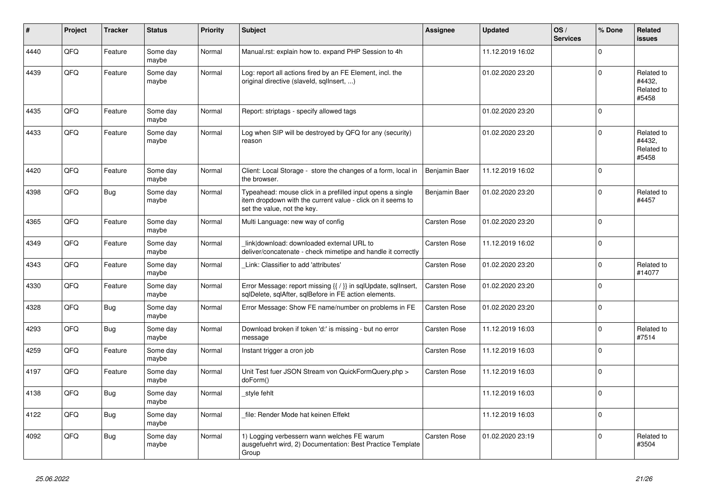| ∦    | Project | <b>Tracker</b> | <b>Status</b>     | <b>Priority</b> | Subject                                                                                                                                                  | <b>Assignee</b> | <b>Updated</b>   | OS/<br><b>Services</b> | % Done      | <b>Related</b><br><b>issues</b>             |
|------|---------|----------------|-------------------|-----------------|----------------------------------------------------------------------------------------------------------------------------------------------------------|-----------------|------------------|------------------------|-------------|---------------------------------------------|
| 4440 | QFQ     | Feature        | Some day<br>maybe | Normal          | Manual.rst: explain how to. expand PHP Session to 4h                                                                                                     |                 | 11.12.2019 16:02 |                        | $\Omega$    |                                             |
| 4439 | QFQ     | Feature        | Some day<br>maybe | Normal          | Log: report all actions fired by an FE Element, incl. the<br>original directive (slaveld, sqllnsert, )                                                   |                 | 01.02.2020 23:20 |                        | $\Omega$    | Related to<br>#4432,<br>Related to<br>#5458 |
| 4435 | QFQ     | Feature        | Some day<br>maybe | Normal          | Report: striptags - specify allowed tags                                                                                                                 |                 | 01.02.2020 23:20 |                        | $\Omega$    |                                             |
| 4433 | QFQ     | Feature        | Some day<br>maybe | Normal          | Log when SIP will be destroyed by QFQ for any (security)<br>reason                                                                                       |                 | 01.02.2020 23:20 |                        | $\mathbf 0$ | Related to<br>#4432,<br>Related to<br>#5458 |
| 4420 | QFQ     | Feature        | Some day<br>maybe | Normal          | Client: Local Storage - store the changes of a form, local in<br>the browser.                                                                            | Benjamin Baer   | 11.12.2019 16:02 |                        | $\Omega$    |                                             |
| 4398 | QFQ     | <b>Bug</b>     | Some day<br>maybe | Normal          | Typeahead: mouse click in a prefilled input opens a single<br>item dropdown with the current value - click on it seems to<br>set the value, not the key. | Benjamin Baer   | 01.02.2020 23:20 |                        | $\Omega$    | Related to<br>#4457                         |
| 4365 | QFQ     | Feature        | Some day<br>maybe | Normal          | Multi Language: new way of config                                                                                                                        | Carsten Rose    | 01.02.2020 23:20 |                        | $\mathsf 0$ |                                             |
| 4349 | QFQ     | Feature        | Some day<br>maybe | Normal          | link download: downloaded external URL to<br>deliver/concatenate - check mimetipe and handle it correctly                                                | Carsten Rose    | 11.12.2019 16:02 |                        | $\Omega$    |                                             |
| 4343 | QFQ     | Feature        | Some day<br>maybe | Normal          | Link: Classifier to add 'attributes'                                                                                                                     | Carsten Rose    | 01.02.2020 23:20 |                        | $\mathbf 0$ | Related to<br>#14077                        |
| 4330 | QFQ     | Feature        | Some day<br>maybe | Normal          | Error Message: report missing {{ / }} in sqlUpdate, sqlInsert,<br>sqlDelete, sqlAfter, sqlBefore in FE action elements.                                  | Carsten Rose    | 01.02.2020 23:20 |                        | $\mathsf 0$ |                                             |
| 4328 | QFQ     | <b>Bug</b>     | Some day<br>maybe | Normal          | Error Message: Show FE name/number on problems in FE                                                                                                     | Carsten Rose    | 01.02.2020 23:20 |                        | $\mathbf 0$ |                                             |
| 4293 | QFQ     | <b>Bug</b>     | Some day<br>maybe | Normal          | Download broken if token 'd:' is missing - but no error<br>message                                                                                       | Carsten Rose    | 11.12.2019 16:03 |                        | $\mathbf 0$ | Related to<br>#7514                         |
| 4259 | QFQ     | Feature        | Some day<br>maybe | Normal          | Instant trigger a cron job                                                                                                                               | Carsten Rose    | 11.12.2019 16:03 |                        | $\Omega$    |                                             |
| 4197 | QFQ     | Feature        | Some day<br>maybe | Normal          | Unit Test fuer JSON Stream von QuickFormQuery.php ><br>doForm()                                                                                          | Carsten Rose    | 11.12.2019 16:03 |                        | $\mathsf 0$ |                                             |
| 4138 | QFQ     | Bug            | Some day<br>maybe | Normal          | style fehlt                                                                                                                                              |                 | 11.12.2019 16:03 |                        | $\mathbf 0$ |                                             |
| 4122 | QFQ     | Bug            | Some day<br>maybe | Normal          | file: Render Mode hat keinen Effekt                                                                                                                      |                 | 11.12.2019 16:03 |                        | $\Omega$    |                                             |
| 4092 | QFQ     | Bug            | Some day<br>maybe | Normal          | 1) Logging verbessern wann welches FE warum<br>ausgefuehrt wird, 2) Documentation: Best Practice Template<br>Group                                       | Carsten Rose    | 01.02.2020 23:19 |                        | $\mathbf 0$ | Related to<br>#3504                         |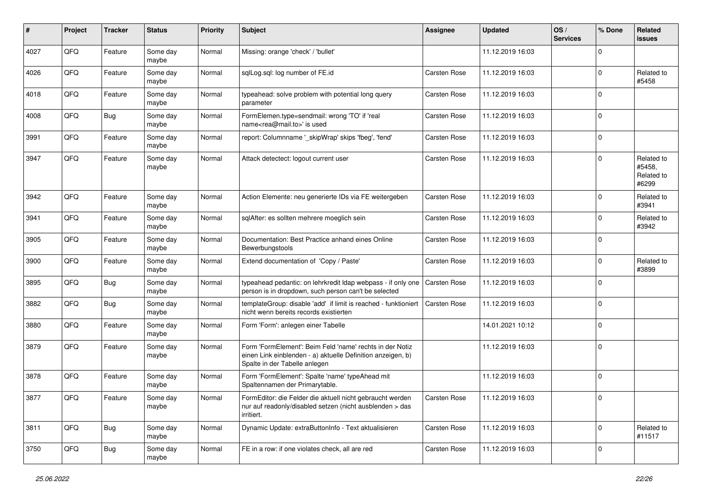| #    | Project | <b>Tracker</b> | <b>Status</b>     | <b>Priority</b> | Subject                                                                                                                                                  | <b>Assignee</b>     | <b>Updated</b>   | OS/<br><b>Services</b> | % Done      | Related<br><b>issues</b>                    |
|------|---------|----------------|-------------------|-----------------|----------------------------------------------------------------------------------------------------------------------------------------------------------|---------------------|------------------|------------------------|-------------|---------------------------------------------|
| 4027 | QFQ     | Feature        | Some day<br>maybe | Normal          | Missing: orange 'check' / 'bullet'                                                                                                                       |                     | 11.12.2019 16:03 |                        | $\Omega$    |                                             |
| 4026 | QFQ     | Feature        | Some day<br>maybe | Normal          | sglLog.sgl: log number of FE.id                                                                                                                          | Carsten Rose        | 11.12.2019 16:03 |                        | $\mathbf 0$ | Related to<br>#5458                         |
| 4018 | QFQ     | Feature        | Some day<br>maybe | Normal          | typeahead: solve problem with potential long query<br>parameter                                                                                          | Carsten Rose        | 11.12.2019 16:03 |                        | $\Omega$    |                                             |
| 4008 | QFQ     | Bug            | Some day<br>maybe | Normal          | FormElemen.type=sendmail: wrong 'TO' if 'real<br>name <rea@mail.to>' is used</rea@mail.to>                                                               | Carsten Rose        | 11.12.2019 16:03 |                        | $\mathbf 0$ |                                             |
| 3991 | QFQ     | Feature        | Some day<br>maybe | Normal          | report: Columnname '_skipWrap' skips 'fbeg', 'fend'                                                                                                      | Carsten Rose        | 11.12.2019 16:03 |                        | $\mathbf 0$ |                                             |
| 3947 | QFQ     | Feature        | Some day<br>maybe | Normal          | Attack detectect: logout current user                                                                                                                    | Carsten Rose        | 11.12.2019 16:03 |                        | $\Omega$    | Related to<br>#5458,<br>Related to<br>#6299 |
| 3942 | QFQ     | Feature        | Some day<br>maybe | Normal          | Action Elemente: neu generierte IDs via FE weitergeben                                                                                                   | <b>Carsten Rose</b> | 11.12.2019 16:03 |                        | $\mathbf 0$ | Related to<br>#3941                         |
| 3941 | QFQ     | Feature        | Some day<br>maybe | Normal          | sqlAfter: es sollten mehrere moeglich sein                                                                                                               | Carsten Rose        | 11.12.2019 16:03 |                        | $\mathbf 0$ | Related to<br>#3942                         |
| 3905 | QFQ     | Feature        | Some day<br>maybe | Normal          | Documentation: Best Practice anhand eines Online<br>Bewerbungstools                                                                                      | <b>Carsten Rose</b> | 11.12.2019 16:03 |                        | $\Omega$    |                                             |
| 3900 | QFQ     | Feature        | Some day<br>maybe | Normal          | Extend documentation of 'Copy / Paste'                                                                                                                   | Carsten Rose        | 11.12.2019 16:03 |                        | $\Omega$    | Related to<br>#3899                         |
| 3895 | QFQ     | Bug            | Some day<br>maybe | Normal          | typeahead pedantic: on lehrkredit Idap webpass - if only one<br>person is in dropdown, such person can't be selected                                     | <b>Carsten Rose</b> | 11.12.2019 16:03 |                        | $\Omega$    |                                             |
| 3882 | QFQ     | <b>Bug</b>     | Some day<br>maybe | Normal          | templateGroup: disable 'add' if limit is reached - funktioniert<br>nicht wenn bereits records existierten                                                | Carsten Rose        | 11.12.2019 16:03 |                        | $\mathbf 0$ |                                             |
| 3880 | QFQ     | Feature        | Some day<br>maybe | Normal          | Form 'Form': anlegen einer Tabelle                                                                                                                       |                     | 14.01.2021 10:12 |                        | $\mathbf 0$ |                                             |
| 3879 | QFQ     | Feature        | Some day<br>maybe | Normal          | Form 'FormElement': Beim Feld 'name' rechts in der Notiz<br>einen Link einblenden - a) aktuelle Definition anzeigen, b)<br>Spalte in der Tabelle anlegen |                     | 11.12.2019 16:03 |                        | $\mathbf 0$ |                                             |
| 3878 | QFQ     | Feature        | Some day<br>maybe | Normal          | Form 'FormElement': Spalte 'name' typeAhead mit<br>Spaltennamen der Primarytable.                                                                        |                     | 11.12.2019 16:03 |                        | $\mathbf 0$ |                                             |
| 3877 | QFG     | Feature        | Some day<br>maybe | Normal          | FormEditor: die Felder die aktuell nicht gebraucht werden<br>nur auf readonly/disabled setzen (nicht ausblenden > das<br>irritiert.                      | Carsten Rose        | 11.12.2019 16:03 |                        | $\pmb{0}$   |                                             |
| 3811 | QFQ     | Bug            | Some day<br>maybe | Normal          | Dynamic Update: extraButtonInfo - Text aktualisieren                                                                                                     | Carsten Rose        | 11.12.2019 16:03 |                        | 0           | Related to<br>#11517                        |
| 3750 | QFQ     | <b>Bug</b>     | Some day<br>maybe | Normal          | FE in a row: if one violates check, all are red                                                                                                          | Carsten Rose        | 11.12.2019 16:03 |                        | 0           |                                             |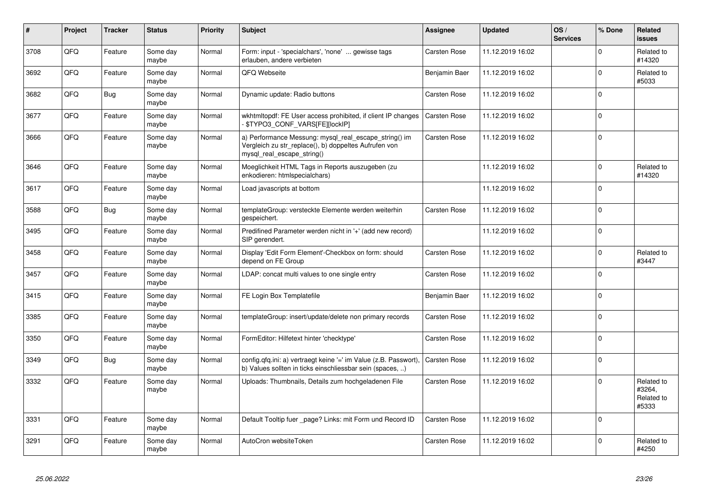| #    | Project | <b>Tracker</b> | <b>Status</b>     | <b>Priority</b> | <b>Subject</b>                                                                                                                               | Assignee            | <b>Updated</b>   | OS/<br><b>Services</b> | % Done      | Related<br>issues                           |
|------|---------|----------------|-------------------|-----------------|----------------------------------------------------------------------------------------------------------------------------------------------|---------------------|------------------|------------------------|-------------|---------------------------------------------|
| 3708 | QFQ     | Feature        | Some day<br>maybe | Normal          | Form: input - 'specialchars', 'none'  gewisse tags<br>erlauben, andere verbieten                                                             | Carsten Rose        | 11.12.2019 16:02 |                        | $\Omega$    | Related to<br>#14320                        |
| 3692 | QFQ     | Feature        | Some day<br>maybe | Normal          | QFQ Webseite                                                                                                                                 | Benjamin Baer       | 11.12.2019 16:02 |                        | $\Omega$    | Related to<br>#5033                         |
| 3682 | QFQ     | <b>Bug</b>     | Some day<br>maybe | Normal          | Dynamic update: Radio buttons                                                                                                                | <b>Carsten Rose</b> | 11.12.2019 16:02 |                        | $\Omega$    |                                             |
| 3677 | QFQ     | Feature        | Some day<br>maybe | Normal          | wkhtmitopdf: FE User access prohibited, if client IP changes<br>\$TYPO3_CONF_VARS[FE][lockIP]                                                | <b>Carsten Rose</b> | 11.12.2019 16:02 |                        | $\Omega$    |                                             |
| 3666 | QFQ     | Feature        | Some day<br>maybe | Normal          | a) Performance Messung: mysql_real_escape_string() im<br>Vergleich zu str_replace(), b) doppeltes Aufrufen von<br>mysql_real_escape_string() | <b>Carsten Rose</b> | 11.12.2019 16:02 |                        | $\Omega$    |                                             |
| 3646 | QFQ     | Feature        | Some day<br>maybe | Normal          | Moeglichkeit HTML Tags in Reports auszugeben (zu<br>enkodieren: htmlspecialchars)                                                            |                     | 11.12.2019 16:02 |                        | $\Omega$    | Related to<br>#14320                        |
| 3617 | QFQ     | Feature        | Some day<br>maybe | Normal          | Load javascripts at bottom                                                                                                                   |                     | 11.12.2019 16:02 |                        | $\Omega$    |                                             |
| 3588 | QFQ     | Bug            | Some day<br>maybe | Normal          | templateGroup: versteckte Elemente werden weiterhin<br>gespeichert.                                                                          | <b>Carsten Rose</b> | 11.12.2019 16:02 |                        | $\Omega$    |                                             |
| 3495 | QFQ     | Feature        | Some day<br>maybe | Normal          | Predifined Parameter werden nicht in '+' (add new record)<br>SIP gerendert.                                                                  |                     | 11.12.2019 16:02 |                        | $\Omega$    |                                             |
| 3458 | QFQ     | Feature        | Some day<br>maybe | Normal          | Display 'Edit Form Element'-Checkbox on form: should<br>depend on FE Group                                                                   | <b>Carsten Rose</b> | 11.12.2019 16:02 |                        | $\Omega$    | Related to<br>#3447                         |
| 3457 | QFQ     | Feature        | Some day<br>maybe | Normal          | LDAP: concat multi values to one single entry                                                                                                | Carsten Rose        | 11.12.2019 16:02 |                        | $\Omega$    |                                             |
| 3415 | QFQ     | Feature        | Some day<br>maybe | Normal          | FE Login Box Templatefile                                                                                                                    | Benjamin Baer       | 11.12.2019 16:02 |                        | $\Omega$    |                                             |
| 3385 | QFQ     | Feature        | Some day<br>maybe | Normal          | templateGroup: insert/update/delete non primary records                                                                                      | Carsten Rose        | 11.12.2019 16:02 |                        | $\Omega$    |                                             |
| 3350 | QFQ     | Feature        | Some day<br>maybe | Normal          | FormEditor: Hilfetext hinter 'checktype'                                                                                                     | <b>Carsten Rose</b> | 11.12.2019 16:02 |                        | 0           |                                             |
| 3349 | QFQ     | <b>Bug</b>     | Some day<br>maybe | Normal          | config.qfq.ini: a) vertraegt keine '=' im Value (z.B. Passwort),<br>b) Values sollten in ticks einschliessbar sein (spaces, )                | Carsten Rose        | 11.12.2019 16:02 |                        | $\mathbf 0$ |                                             |
| 3332 | QFQ     | Feature        | Some day<br>maybe | Normal          | Uploads: Thumbnails, Details zum hochgeladenen File                                                                                          | <b>Carsten Rose</b> | 11.12.2019 16:02 |                        | $\Omega$    | Related to<br>#3264,<br>Related to<br>#5333 |
| 3331 | QFQ     | Feature        | Some day<br>maybe | Normal          | Default Tooltip fuer page? Links: mit Form und Record ID                                                                                     | <b>Carsten Rose</b> | 11.12.2019 16:02 |                        | $\Omega$    |                                             |
| 3291 | QFQ     | Feature        | Some day<br>maybe | Normal          | AutoCron websiteToken                                                                                                                        | <b>Carsten Rose</b> | 11.12.2019 16:02 |                        | $\Omega$    | Related to<br>#4250                         |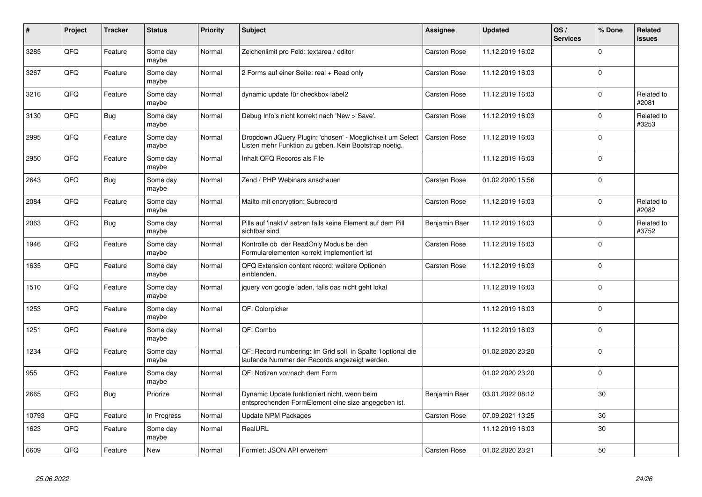| $\vert$ # | Project | <b>Tracker</b> | <b>Status</b>     | <b>Priority</b> | <b>Subject</b>                                                                                                     | Assignee      | <b>Updated</b>   | OS/<br><b>Services</b> | % Done         | <b>Related</b><br><b>issues</b> |
|-----------|---------|----------------|-------------------|-----------------|--------------------------------------------------------------------------------------------------------------------|---------------|------------------|------------------------|----------------|---------------------------------|
| 3285      | QFQ     | Feature        | Some day<br>maybe | Normal          | Zeichenlimit pro Feld: textarea / editor                                                                           | Carsten Rose  | 11.12.2019 16:02 |                        | $\mathbf{0}$   |                                 |
| 3267      | QFQ     | Feature        | Some day<br>maybe | Normal          | 2 Forms auf einer Seite: real + Read only                                                                          | Carsten Rose  | 11.12.2019 16:03 |                        | $\Omega$       |                                 |
| 3216      | QFQ     | Feature        | Some day<br>maybe | Normal          | dynamic update für checkbox label2                                                                                 | Carsten Rose  | 11.12.2019 16:03 |                        | $\Omega$       | Related to<br>#2081             |
| 3130      | QFQ     | <b>Bug</b>     | Some day<br>maybe | Normal          | Debug Info's nicht korrekt nach 'New > Save'.                                                                      | Carsten Rose  | 11.12.2019 16:03 |                        | $\Omega$       | Related to<br>#3253             |
| 2995      | QFQ     | Feature        | Some day<br>maybe | Normal          | Dropdown JQuery Plugin: 'chosen' - Moeglichkeit um Select<br>Listen mehr Funktion zu geben. Kein Bootstrap noetig. | Carsten Rose  | 11.12.2019 16:03 |                        | $\Omega$       |                                 |
| 2950      | QFQ     | Feature        | Some day<br>maybe | Normal          | Inhalt QFQ Records als File                                                                                        |               | 11.12.2019 16:03 |                        | $\Omega$       |                                 |
| 2643      | QFQ     | <b>Bug</b>     | Some day<br>maybe | Normal          | Zend / PHP Webinars anschauen                                                                                      | Carsten Rose  | 01.02.2020 15:56 |                        | $\Omega$       |                                 |
| 2084      | QFQ     | Feature        | Some day<br>maybe | Normal          | Mailto mit encryption: Subrecord                                                                                   | Carsten Rose  | 11.12.2019 16:03 |                        | $\Omega$       | Related to<br>#2082             |
| 2063      | QFQ     | Bug            | Some day<br>maybe | Normal          | Pills auf 'inaktiv' setzen falls keine Element auf dem Pill<br>sichtbar sind.                                      | Benjamin Baer | 11.12.2019 16:03 |                        | $\Omega$       | Related to<br>#3752             |
| 1946      | QFQ     | Feature        | Some day<br>maybe | Normal          | Kontrolle ob der ReadOnly Modus bei den<br>Formularelementen korrekt implementiert ist                             | Carsten Rose  | 11.12.2019 16:03 |                        | $\Omega$       |                                 |
| 1635      | QFQ     | Feature        | Some day<br>maybe | Normal          | QFQ Extension content record: weitere Optionen<br>einblenden.                                                      | Carsten Rose  | 11.12.2019 16:03 |                        | ١o             |                                 |
| 1510      | QFQ     | Feature        | Some day<br>maybe | Normal          | jquery von google laden, falls das nicht geht lokal                                                                |               | 11.12.2019 16:03 |                        | $\Omega$       |                                 |
| 1253      | QFQ     | Feature        | Some day<br>maybe | Normal          | QF: Colorpicker                                                                                                    |               | 11.12.2019 16:03 |                        | $\Omega$       |                                 |
| 1251      | QFQ     | Feature        | Some day<br>maybe | Normal          | QF: Combo                                                                                                          |               | 11.12.2019 16:03 |                        | $\Omega$       |                                 |
| 1234      | QFQ     | Feature        | Some day<br>maybe | Normal          | QF: Record numbering: Im Grid soll in Spalte 1 optional die<br>laufende Nummer der Records angezeigt werden.       |               | 01.02.2020 23:20 |                        | $\Omega$       |                                 |
| 955       | QFQ     | Feature        | Some day<br>maybe | Normal          | QF: Notizen vor/nach dem Form                                                                                      |               | 01.02.2020 23:20 |                        | $\overline{0}$ |                                 |
| 2665      | QFQ     | <b>Bug</b>     | Priorize          | Normal          | Dynamic Update funktioniert nicht, wenn beim<br>entsprechenden FormElement eine size angegeben ist.                | Benjamin Baer | 03.01.2022 08:12 |                        | 30             |                                 |
| 10793     | QFQ     | Feature        | In Progress       | Normal          | Update NPM Packages                                                                                                | Carsten Rose  | 07.09.2021 13:25 |                        | 30             |                                 |
| 1623      | QFQ     | Feature        | Some day<br>maybe | Normal          | RealURL                                                                                                            |               | 11.12.2019 16:03 |                        | 30             |                                 |
| 6609      | QFQ     | Feature        | New               | Normal          | Formlet: JSON API erweitern                                                                                        | Carsten Rose  | 01.02.2020 23:21 |                        | 50             |                                 |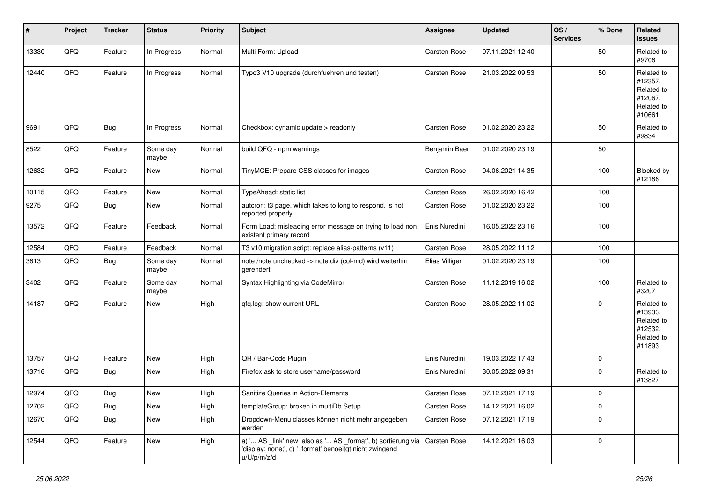| #     | Project | <b>Tracker</b> | <b>Status</b>     | <b>Priority</b> | <b>Subject</b>                                                                                                                        | <b>Assignee</b>     | <b>Updated</b>   | OS/<br><b>Services</b> | % Done      | Related<br><b>issues</b>                                               |
|-------|---------|----------------|-------------------|-----------------|---------------------------------------------------------------------------------------------------------------------------------------|---------------------|------------------|------------------------|-------------|------------------------------------------------------------------------|
| 13330 | QFQ     | Feature        | In Progress       | Normal          | Multi Form: Upload                                                                                                                    | Carsten Rose        | 07.11.2021 12:40 |                        | 50          | Related to<br>#9706                                                    |
| 12440 | QFQ     | Feature        | In Progress       | Normal          | Typo3 V10 upgrade (durchfuehren und testen)                                                                                           | Carsten Rose        | 21.03.2022 09:53 |                        | 50          | Related to<br>#12357,<br>Related to<br>#12067,<br>Related to<br>#10661 |
| 9691  | QFQ     | <b>Bug</b>     | In Progress       | Normal          | Checkbox: dynamic update > readonly                                                                                                   | <b>Carsten Rose</b> | 01.02.2020 23:22 |                        | 50          | Related to<br>#9834                                                    |
| 8522  | QFQ     | Feature        | Some day<br>maybe | Normal          | build QFQ - npm warnings                                                                                                              | Benjamin Baer       | 01.02.2020 23:19 |                        | 50          |                                                                        |
| 12632 | QFQ     | Feature        | New               | Normal          | TinyMCE: Prepare CSS classes for images                                                                                               | Carsten Rose        | 04.06.2021 14:35 |                        | 100         | Blocked by<br>#12186                                                   |
| 10115 | QFQ     | Feature        | <b>New</b>        | Normal          | TypeAhead: static list                                                                                                                | <b>Carsten Rose</b> | 26.02.2020 16:42 |                        | 100         |                                                                        |
| 9275  | QFQ     | <b>Bug</b>     | New               | Normal          | autcron: t3 page, which takes to long to respond, is not<br>reported properly                                                         | Carsten Rose        | 01.02.2020 23:22 |                        | 100         |                                                                        |
| 13572 | QFQ     | Feature        | Feedback          | Normal          | Form Load: misleading error message on trying to load non<br>existent primary record                                                  | Enis Nuredini       | 16.05.2022 23:16 |                        | 100         |                                                                        |
| 12584 | QFQ     | Feature        | Feedback          | Normal          | T3 v10 migration script: replace alias-patterns (v11)                                                                                 | Carsten Rose        | 28.05.2022 11:12 |                        | 100         |                                                                        |
| 3613  | QFQ     | <b>Bug</b>     | Some day<br>maybe | Normal          | note /note unchecked -> note div (col-md) wird weiterhin<br>gerendert                                                                 | Elias Villiger      | 01.02.2020 23:19 |                        | 100         |                                                                        |
| 3402  | QFQ     | Feature        | Some day<br>maybe | Normal          | Syntax Highlighting via CodeMirror                                                                                                    | Carsten Rose        | 11.12.2019 16:02 |                        | 100         | Related to<br>#3207                                                    |
| 14187 | QFQ     | Feature        | New               | High            | qfq.log: show current URL                                                                                                             | Carsten Rose        | 28.05.2022 11:02 |                        | $\Omega$    | Related to<br>#13933,<br>Related to<br>#12532,<br>Related to<br>#11893 |
| 13757 | QFQ     | Feature        | New               | High            | QR / Bar-Code Plugin                                                                                                                  | Enis Nuredini       | 19.03.2022 17:43 |                        | $\mathbf 0$ |                                                                        |
| 13716 | QFQ     | <b>Bug</b>     | New               | High            | Firefox ask to store username/password                                                                                                | Enis Nuredini       | 30.05.2022 09:31 |                        | $\Omega$    | Related to<br>#13827                                                   |
| 12974 | QFQ     | <b>Bug</b>     | New               | High            | Sanitize Queries in Action-Elements                                                                                                   | Carsten Rose        | 07.12.2021 17:19 |                        | 0           |                                                                        |
| 12702 | QFQ     | Bug            | New               | High            | templateGroup: broken in multiDb Setup                                                                                                | Carsten Rose        | 14.12.2021 16:02 |                        | 0           |                                                                        |
| 12670 | QFQ     | <b>Bug</b>     | New               | High            | Dropdown-Menu classes können nicht mehr angegeben<br>werden                                                                           | Carsten Rose        | 07.12.2021 17:19 |                        | $\mathbf 0$ |                                                                        |
| 12544 | QFQ     | Feature        | New               | High            | a) ' AS _link' new also as ' AS _format', b) sortierung via<br>'display: none;', c) '_format' benoeitgt nicht zwingend<br>u/U/p/m/z/d | Carsten Rose        | 14.12.2021 16:03 |                        | 0           |                                                                        |